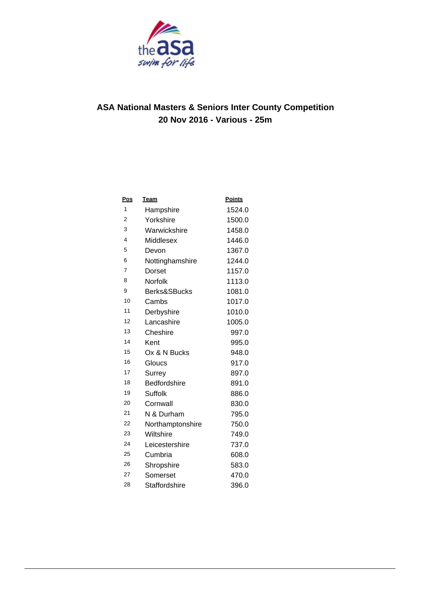

| <u>Pos</u>     | <b>Team</b>         | Points |
|----------------|---------------------|--------|
| 1              | Hampshire           | 1524.0 |
| $\overline{2}$ | Yorkshire           | 1500.0 |
| 3              | Warwickshire        | 1458.0 |
| 4              | Middlesex           | 1446.0 |
| 5              | Devon               | 1367.0 |
| 6              | Nottinghamshire     | 1244.0 |
| 7              | Dorset              | 1157.0 |
| 8              | Norfolk             | 1113.0 |
| 9              | Berks&SBucks        | 1081.0 |
| 10             | Cambs               | 1017.0 |
| 11             | Derbyshire          | 1010.0 |
| 12             | Lancashire          | 1005.0 |
| 13             | Cheshire            | 997.0  |
| 14             | Kent                | 995.0  |
| 15             | Ox & N Bucks        | 948.0  |
| 16             | Gloucs              | 917.0  |
| 17             | Surrey              | 897.0  |
| 18             | <b>Bedfordshire</b> | 891.0  |
| 19             | <b>Suffolk</b>      | 886.0  |
| 20             | Cornwall            | 830.0  |
| 21             | N & Durham          | 795.0  |
| 22             | Northamptonshire    | 750.0  |
| 23             | Wiltshire           | 749.0  |
| 24             | Leicestershire      | 737.0  |
| 25             | Cumbria             | 608.0  |
| 26             | Shropshire          | 583.0  |
| 27             | Somerset            | 470.0  |
| 28             | Staffordshire       | 396.0  |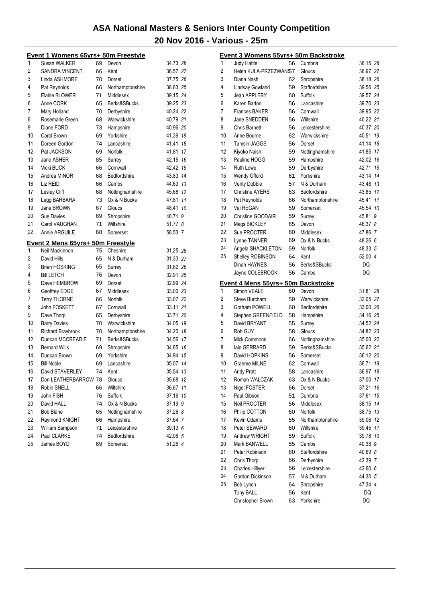|    | <u> Event 1 Womens 65yrs+ 50m Freestyle</u>         |    |                  |          |    |
|----|-----------------------------------------------------|----|------------------|----------|----|
| 1  | Susan WALKER                                        | 69 | Devon            | 34.73 28 |    |
| 2  | <b>SANDRA VINCENT</b>                               | 66 | Kent             | 36.57 27 |    |
| 3  | Linda ASHMORE                                       | 70 | Dorset           | 37.75 26 |    |
| 4  | Pat Reynolds                                        | 66 | Northamptonshire | 38.63 25 |    |
| 5  | Elaine BLOWER                                       | 71 | Middlesex        | 39.15 24 |    |
| 6  | Anne CORK                                           | 65 | Berks&SBucks     | 39.25 23 |    |
| 7  | Mary Holland                                        | 70 | Derbyshire       | 40.24 22 |    |
| 8  | Rosemarie Green                                     | 68 | Warwickshire     | 40.79 21 |    |
| 9  | Diane FORD                                          | 73 | Hampshire        | 40.96 20 |    |
| 10 | Carol Brown                                         | 69 | Yorkshire        | 41.39 19 |    |
| 11 | Doreen Gordon                                       | 74 | Lancashire       | 41.41 18 |    |
| 12 | Pat JACKSON                                         | 69 | Norfolk          | 41.81 17 |    |
| 13 | Jane ASHER                                          | 85 | Surrey           | 42.15 16 |    |
| 14 | Vicki BUCK                                          | 66 | Cornwall         | 42.42 15 |    |
| 15 | Andrea MINOR                                        | 68 | Bedfordshire     | 43.83 14 |    |
| 16 | Liz REID                                            | 66 | Cambs            | 44.63 13 |    |
| 17 | Lesley Cliff                                        | 68 | Nottinghamshire  | 45.68 12 |    |
| 18 | Legg BARBARA                                        | 73 | Ox & N Bucks     | 47.81    | 11 |
| 19 | Jane BROWN                                          | 67 | Gloucs           | 48.41 10 |    |
| 20 | Sue Davies                                          | 69 | Shropshire       | 48.71 9  |    |
| 21 | Carol VAUGHAN                                       | 71 | Wiltshire        | 51.77 8  |    |
| 22 | Annie ARGUILE                                       | 68 | Somerset         | 58.53 7  |    |
|    |                                                     |    |                  |          |    |
| 1  | Event 2 Mens 65yrs+ 50m Freestyle<br>Neil Mackinnon | 75 | Cheshire         | 31.25 28 |    |
| 2  | David Hills                                         | 65 | N & Durham       | 31.33 27 |    |
| 3  |                                                     |    |                  |          |    |
| 4  | <b>Brian HOSKING</b>                                | 65 | Surrey           | 31.82 26 |    |
|    | <b>Bill LETCH</b>                                   | 76 | Devon            | 32.91 25 |    |
| 5  | Dave HEMBROW                                        | 69 | Dorset           | 32.99 24 |    |
| 6  | Geoffrey EDGE                                       | 67 | Middlesex        | 33.00 23 |    |
| 7  | <b>Terry THORNE</b>                                 | 66 | Norfolk          | 33.07 22 |    |
| 8  | John FOSKETT                                        | 67 | Cornwall         | 33.11 21 |    |
| 9  | Dave Thorp                                          | 65 | Derbyshire       | 33.71 20 |    |
| 10 | <b>Barry Davies</b>                                 | 70 | Warwickshire     | 34.05 19 |    |
| 11 | Richard Braybrook                                   | 70 | Northamptonshire | 34.20 18 |    |
| 12 | Duncan MCCREADIE                                    | 71 | Berks&SBucks     | 34.56 17 |    |
| 13 | <b>Bernard Wills</b>                                | 69 | Shropshire       | 34.85 16 |    |
| 14 | Duncan Brown                                        | 69 | Yorkshire        | 34.94 15 |    |
| 15 | <b>Bill Noble</b>                                   | 69 | Lancashire       | 35.07 14 |    |
| 16 | David STAVERLEY                                     | 74 | Kent             | 35.54 13 |    |
| 17 | Don LEATHERBARROW 78                                |    | Gloucs           | 35.68 12 |    |
| 18 | Robin SNELL                                         | 66 | Wiltshire        | 36.67    | 11 |
| 19 | John FISH                                           | 76 | Suffolk          | 37.16 10 |    |
| 20 | David HALL                                          | 74 | Ox & N Bucks     | 37.19 9  |    |
| 21 | <b>Bob Blane</b>                                    | 65 | Nottinghamshire  | 37.26 8  |    |
| 22 | Raymond KNIGHT                                      | 66 | Hampshire        | 37.64 7  |    |
| 23 | William Sampson                                     | 71 | Leicestershire   | 39.13 6  |    |
| 24 | Paul CLARKE                                         | 74 | Bedfordshire     | 42.06 5  |    |
| 25 | James BOYD                                          | 69 | Somerset         | 51.26 4  |    |

|          | <u> Event 3 Womens 55yrs+ 50m Backstroke</u> |          |                   |          |    |
|----------|----------------------------------------------|----------|-------------------|----------|----|
| 1        | Judy Hattle                                  | 56       | Cumbria           | 36.15 28 |    |
| 2        | Helen KULA-PRZEZWAN\$7                       |          | Gloucs            | 36.97 27 |    |
| 3        | Diana Nash                                   | 62       | Shropshire        | 38.18 26 |    |
| 4        | Lindsay Gowland                              | 59       | Staffordshire     | 39.56 25 |    |
| 5        | Jean APPLEBY                                 | 60       | Suffolk           | 39.57 24 |    |
| 6        | Karen Barton                                 | 56       | Lancashire        | 39.70 23 |    |
| 7        | <b>Frances BAKER</b>                         | 56       | Cornwall          | 39.95 22 |    |
| 8        | Jane SNEDDEN                                 | 56       | Wiltshire         | 40.22 21 |    |
| 9        | <b>Chris Barnett</b>                         | 56       | Leicestershire    | 40.37 20 |    |
| 10       | Anne Bourne                                  | 62       | Warwickshire      | 40.51    | 19 |
| 11       | Tamsin JAGGS                                 | 56       | Dorset            | 41.14 18 |    |
| 12       | Kiyoko Naish                                 | 59       | Nottinghamshire   | 41.85 17 |    |
| 13       | Pauline HOGG                                 | 59       | Hampshire         | 42.02 16 |    |
| 14       | <b>Ruth Lowe</b>                             | 59       | Derbyshire        | 42.71    | 15 |
| 15       | Wendy Offord                                 | 61       | Yorkshire         | 43.14    | 14 |
| 16       | <b>Verity Dobbie</b>                         | 57       | N & Durham        | 43.48 13 |    |
| 17       | <b>Christine AYERS</b>                       | 63       | Bedfordshire      | 43.85 12 |    |
| 18       | Pat Reynolds                                 | 66       | Northamptonshire  | 45.41    | 11 |
| 19       | Val REGAN                                    | 59       | Somerset          | 45.54 10 |    |
| 20       | Christine GOODAIR                            | 59       | Surrey            | 45.81 9  |    |
| 21       | Mags BICKLEY                                 | 65       | Devon             | 46.37 8  |    |
| 22       | Sue PROCTER                                  | 60       | Middlesex         | 47.86 7  |    |
| 23       | Lynne TANNER                                 | 69       | Ox & N Bucks      | 48.26 6  |    |
| 24       | Angela SHACKLETON                            | 59       | Norfolk           | 48.33 5  |    |
| 25       | Shelley ROBINSON                             | 64       | Kent              | 52.00 4  |    |
|          | Dinah HAYNES                                 | 56       | Berks&SBucks      | DQ       |    |
|          | Jayne COLEBROOK                              | 56       | Cambs             | DQ       |    |
|          | Event 4 Mens 55yrs+ 50m Backstroke           |          |                   |          |    |
| 1        | Simon VEALE                                  | 60       | Devon             | 31.81 28 |    |
| 2        | Steve Burcham                                | 59       | Warwickshire      | 32.05 27 |    |
| 3        | <b>Graham POWELL</b>                         | 60       | Bedfordshire      | 33.00 26 |    |
| 4        | Stephen GREENFIELD                           | 58       | Hampshire         | 34.16 25 |    |
| 5        | David BRYANT                                 | 55       | Surrey            | 34.52 24 |    |
| 6        | Rob GUY                                      | 58       | Gloucs            | 34.82 23 |    |
| 7        | <b>Mick Commons</b>                          | 66       | Nottinghamshire   | 35.00 22 |    |
| 8        | lain GERRARD                                 | 59       | Berks&SBucks      | 35.62 21 |    |
| 9        | David HOPKINS                                | 56       | Somerset          | 36.12 20 |    |
| 10       | Graeme MILNE                                 | 62       | Cornwall          | 36.71    | 19 |
| 11       | <b>Andy Pratt</b>                            | 58       | Lancashire        | 36.97    | 18 |
| 12       | Roman WALCZAK                                | 63       | Ox & N Bucks      | 37.00 17 |    |
| 13       | Nigel FOSTER                                 | 66       | Dorset            | 37.21    | 16 |
| 14       | Paul Gibson                                  | 51       | Cumbria           | 37.61    | 15 |
| 15       | Neil PROCTER                                 | 56       | Middlesex         | 38.15    | 14 |
| 16       | Philip COTTON                                | 60       | Norfolk           | 38.75    | 13 |
| 17       | Kevin Odams                                  | 55       | Northamptonshire  | 39.06    | 12 |
| 18       | Peter SEWARD                                 | 60       | Wiltshire         | 39.45    | 11 |
| 19       | Andrew WRIGHT                                | 59       | Suffolk           | 39.78 10 |    |
| 20       | Mark BANWELL                                 | 55       | Cambs             | 40.38 9  |    |
| 21       | Peter Robinson                               |          | Staffordshire     |          |    |
| 22       |                                              | 60       |                   | 40.69 8  |    |
|          | Chris Thorp                                  | 66       | Derbyshire        | 42.39 7  |    |
| 23<br>24 | <b>Charles Hillyer</b>                       | 56       | Leicestershire    | 42.60 6  |    |
|          | Gordon Dickinson                             | 57       | N & Durham        | 44.30 5  |    |
| 25       | Bob Lynch                                    | 64       | Shropshire        | 47.34 4  |    |
|          | <b>Tony BALL</b><br>Christopher Brown        | 56<br>63 | Kent<br>Yorkshire | DQ<br>DQ |    |
|          |                                              |          |                   |          |    |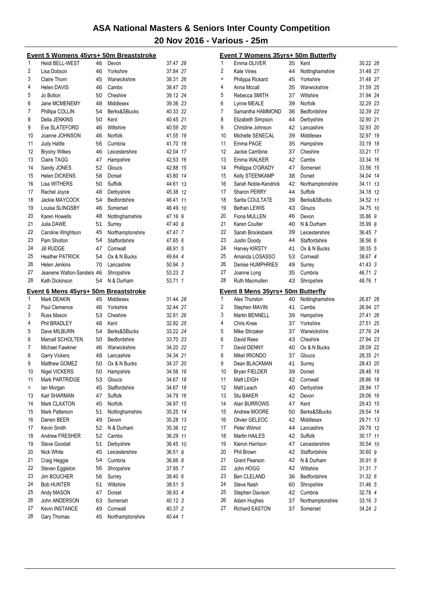|          | <u>Event 5 Womens 45yrs+ 50m Breaststroke</u> |          |                              |                    |    |
|----------|-----------------------------------------------|----------|------------------------------|--------------------|----|
| 1        | Heidi BELL-WEST                               | 46       | Devon                        | 37.47 28           |    |
| 2        | Lisa Dobson                                   | 46       | Yorkshire                    | 37.84 27           |    |
| 3        | Claire Thorn                                  | 45       | Warwickshire                 | 38.31 26           |    |
| 4        | <b>Helen DAVIS</b>                            | 46       | Cambs                        | 38.47 25           |    |
| 5        | Jo Bolton                                     | 50       | Cheshire                     | 39.12 24           |    |
| 6        | Jane MCMENEMY                                 | 48       | Middlesex                    | 39.36 23           |    |
| 7        | Phillipa COLLIN                               | 54       | Berks&SBucks                 | 40.33 22           |    |
| 8        | Della JENKINS                                 | 50       | Kent                         | 40.45 21           |    |
| 9        | Eve SLATEFORD                                 | 46       | Wiltshire                    | 40.59 20           |    |
| 10       | Joanne JOHNSON                                | 46       | Norfolk                      | 41.55 19           |    |
| 11       | <b>Judy Hattle</b>                            | 56       | Cumbria                      | 41.70 18           |    |
| 12       | <b>Bryony Wilkes</b>                          | 46       | Leicestershire               | 42.04 17           |    |
| 13       | Claire TAGG                                   | 47       | Hampshire                    | 42.53 16           |    |
| 14       | Sandy JONES                                   | 52       | Gloucs                       | 42.88 15           |    |
| 15       | <b>Helen DICKENS</b>                          | 58       | Dorset                       | 43.80 14           |    |
| 16       | Lisa WITHERS                                  | 50       | Suffolk                      | 44.61 13           |    |
| 17       | Rachel Joyce                                  | 48       | Derbyshire                   | 45.38 12           |    |
| 18       | Jackie MAYCOCK                                | 54       | Bedfordshire                 | 46.41 11           |    |
| 19       | Louisa SLINGSBY                               | 46       | Somerset                     | 46.49 10           |    |
| 20       | Karen Howells                                 | 48       | Nottinghamshire              | 47.16 9            |    |
| 21       | Julia DAWE                                    | 51       | Surrey                       | 47.40 8            |    |
| 22       | Caroline Wrightson                            | 45       | Northamptonshire             | 47.47 7            |    |
| 23       | Pam Sholton                                   | 54       | Staffordshire                | 47.65 6            |    |
| 24       |                                               | 47       | Cornwall                     |                    |    |
|          | <b>Jill RUDGE</b>                             |          |                              | 48.91 5            |    |
| 25       | <b>Heather PATRICK</b>                        | 54       | Ox & N Bucks                 | 49.64 4            |    |
| 26       | Helen Jenkins                                 | 70       | Lancashire                   | 50.94 3            |    |
| 27       | Jeanene Walton-Sanders 46                     |          | Shropshire                   | 53.23 2            |    |
| 28       | Kath Dickinson                                | 54       | N & Durham                   | 53.71 1            |    |
|          |                                               |          |                              |                    |    |
|          | Event 6 Mens 45yrs+ 50m Breaststroke          |          |                              |                    |    |
| 1        | Mark DEAKIN                                   | 45       | Middlesex                    | 31.44 28           |    |
| 2        | Paul Clemence                                 | 46       | Yorkshire                    | 32.44 27           |    |
| 3        | Russ Mason                                    | 53       | Cheshire                     | 32.81 26           |    |
| 4        | Phil BRADLEY                                  | 48       | Kent                         | 32.92 25           |    |
| 5        | Dave MILBURN                                  | 54       | Berks&SBucks                 | 33.22 24           |    |
| 6        | Marcell SCHOLTEN                              | 50       | Bedfordshire                 |                    |    |
| 7        | Michael Fawkner                               | 46       | Warwickshire                 | 33.70 23           |    |
| 8        |                                               | 48       |                              | 34.20 22           |    |
| 9        | <b>Garry Vickers</b>                          |          | Lancashire                   | 34.34 21           |    |
| 10       | Matthew GOMEZ                                 | 50       | Ox & N Bucks                 | 34.37 20           |    |
|          | <b>Nigel VICKERS</b>                          | 50       | Hampshire                    | 34.56              | 19 |
| 11       | Mark PARTRIDGE                                | 53       | Gloucs                       | 34.67 18           |    |
| $=$      | lan Morgan                                    | 45       | Staffordshire                | 34.67              | 18 |
| 13       | Karl SHARMAN                                  | 47       | Suffolk                      | 34.79 16           |    |
| 14       | Mark CLAXTON                                  | 45       | Norfolk                      | 34.97 15           |    |
| 15       | Mark Patterson                                | 51       | Nottinghamshire              | 35.25 14           |    |
| 16       | Darren BEER                                   | 49       | Devon                        | 35.28 13           |    |
| 17       | Kevin Smith                                   | 52       | N & Durham                   | 35.36 12           |    |
| 18       | Andrew FRESHER                                | 52       | Cambs                        | 36.29 11           |    |
| 19       | Steve Goodall                                 | 51       | Derbyshire                   | 36.45 10           |    |
| 20       | Nick White                                    | 45       | Leicestershire               | 36.51 9            |    |
| 21       | Craig Heggie                                  | 54       | Cumbria                      | 36.66 8            |    |
| 22       | Steven Eggleton                               | 56       | Shropshire                   | 37.95 7            |    |
| 23       | <b>Jim BOUCHER</b>                            | 56       | Surrey                       | 38.40 6            |    |
| 24       | <b>Bob HUNTER</b>                             | 51       | Wiltshire                    | 38.51 5            |    |
| 25       | Andy MASON                                    | 47       | Dorset                       | 38.93 4            |    |
| 26       | John ANDERSON                                 | 63       | Somerset                     | 40.12 3            |    |
| 27<br>28 | <b>Kevin INSTANCE</b><br>Gary Thomas          | 49<br>45 | Cornwall<br>Northamptonshire | 40.37 2<br>40.44 1 |    |

|          | Event 7 Womens 35yrs+ 50m Butterfly                |          |                              |                    |    |
|----------|----------------------------------------------------|----------|------------------------------|--------------------|----|
| 1        | Emma OLIVER                                        |          | 35 Kent                      | 30.22 28           |    |
| 2        | Kate Vines                                         | 44       | Nottinghamshire              | 31.48 27           |    |
| $=$      | Philippa Rickard                                   | 45       | Yorkshire                    | 31.48 27           |    |
| 4        | Anna Mccall                                        | 35       | Warwickshire                 | 31.59 25           |    |
| 5        | Rebecca SMITH                                      | 37       | Wiltshire                    | 31.94 24           |    |
| 6        | Lynne MEALE                                        | 39       | Norfolk                      | 32.29 23           |    |
| 7        | Samantha HAMMOND                                   | 36       | Bedfordshire                 | 32.39 22           |    |
| 8        | Elizabeth Simpson                                  | 44       | Derbyshire                   | 32.90 21           |    |
| 9        | Christine Johnson                                  | 42       | Lancashire                   | 32.93 20           |    |
| 10       | Michelle SENECAL                                   | 39       | Middlesex                    | 32.97 19           |    |
| 11       | Emma PAGE                                          | 35       | Hampshire                    | 33.19 18           |    |
| 12       | Jackie Carribine                                   | 37       | Cheshire                     | 33.21              | 17 |
| 13       | Emma WALKER                                        | 42       | Cambs                        | 33.34 16           |    |
| 14       | Phillippa O'GRADY                                  | 47       | Somerset                     | 33.56              | 15 |
| 15       | Kelly STEENKAMP                                    | 38       | Dorset                       | 34.04 14           |    |
| 16       | Sarah Noble-Kendrick                               | 42       | Northamptonshire             | 34.11 13           |    |
| 17       | <b>Sharon PERRY</b>                                | 44       | Suffolk                      | 34.18 12           |    |
| 18       | Sarita COULTATE                                    | 39       | Berks&SBucks                 | 34.52 11           |    |
| 19       | <b>Bethan LEWIS</b>                                | 43       | Gloucs                       | 34.75 10           |    |
| 20<br>21 | Fiona MULLEN<br>Karen Coulter                      | 46       | Devon                        | 35.86 9            |    |
| 22       | Sarah Brooksbank                                   | 40<br>39 | N & Durham<br>Leicestershire | 35.99 8<br>36.45 7 |    |
| 23       | Justin Doody                                       | 44       | Staffordshire                | 36.56 6            |    |
| 24       | Harvey KIRSTY                                      | 41       | Ox & N Bucks                 | 38.35 5            |    |
| 25       | Amanda LOSASSO                                     | 53       | Cornwall                     | 38.67 4            |    |
| 26       | Denise HUMPHRIES                                   | 49       | Surrey                       | 41.43 3            |    |
| 27       | Joanne Long                                        | 35       | Cumbria                      | 46.71 2            |    |
| 28       | Ruth Macmullen                                     | 43       | Shropshire                   | 48.76 1            |    |
|          |                                                    |          |                              |                    |    |
| 1        | Event 8 Mens 35yrs+ 50m Butterfly<br>Alex Thurston | 40       | Nottinghamshire              | 26.87 28           |    |
| 2        | Stephen MAVIN                                      | 41       | Cambs                        | 26.94 27           |    |
| 3        | Martin BENNELL                                     | 39       | Hampshire                    | 27.41 26           |    |
| 4        | Chris Knee                                         | 37       | Yorkshire                    | 27.51 25           |    |
| 5        | Mike Stirzaker                                     | 37       | Warwickshire                 | 27.76 24           |    |
| 6        | David Rees                                         | 43       | Cheshire                     | 27.94 23           |    |
| 7        | David DENNY                                        | 40       | Ox & N Bucks                 | 28.09 22           |    |
| 8        | Mikel IRIONDO                                      | 37       | Gloucs                       | 28.35 21           |    |
| 9        | Dean BLACKMAN                                      | 41       | Surrey                       | 28.43 20           |    |
| 10       | <b>Bryan FIELDER</b>                               |          |                              |                    |    |
| 11       |                                                    | 39       | Dorset                       | 28.48 19           |    |
| 12       | Matt LEIGH                                         | 42       | Cornwall                     | 28.86 18           |    |
|          | Matt Leach                                         | 40       | Derbyshire                   | 28.94              | 17 |
| 13       | <b>Stu BAKER</b>                                   | 42       | Devon                        | 29.06              | 16 |
| 14       | Alan BURROWS                                       | 47       | Kent                         | 29.43              | 15 |
| 15       | Andrew MOORE                                       | 50       | Berks&SBucks                 | 29.54              | 14 |
| 16       | Olivier GELEOC                                     | 42       | Middlesex                    | 29.71              | 13 |
| 17       | Peter Wilmot                                       | 44       | Lancashire                   | 29.79 12           |    |
| 18       | Martin HAILES                                      | 42       | <b>Suffolk</b>               | 30.17 11           |    |
| 19       | Kieron Harrison                                    | 47       | Leicestershire               | 30.54 10           |    |
| 20       | Phil Brown                                         | 42       | Staffordshire                | 30.60 9            |    |
| 21       | <b>Grant Pearson</b>                               | 42       | N & Durham                   | 30.91 8            |    |
| 22       | John HOGG                                          | 42       | Wiltshire                    | 31.31 7            |    |
| 23       | Ben CLELAND                                        | 36       | Bedfordshire                 | 31.32 6            |    |
| 24       | <b>Steve Nash</b>                                  | 60       | Shropshire                   | 31.46 5            |    |
| 25       | Stephen Davison                                    | 42       | Cumbria                      | 32.78 4            |    |
| 26<br>27 | Adam Hughes<br><b>Richard EASTON</b>               | 37<br>37 | Northamptonshire<br>Somerset | 33.16 3<br>34.24 2 |    |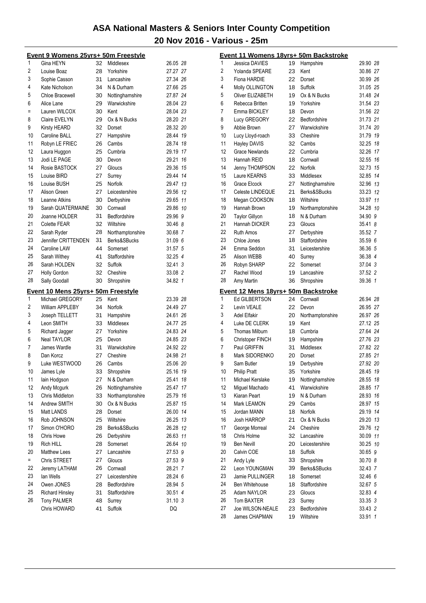|     | <u>Event 9 Womens 25yrs+ 50m Freestyle</u> |    |                  |          |                | Event 11 Womens 18yrs+ 50m Backstroke |          |                           |                    |
|-----|--------------------------------------------|----|------------------|----------|----------------|---------------------------------------|----------|---------------------------|--------------------|
| 1   | Gina HEYN                                  | 32 | Middlesex        | 26.05 28 | 1              | Jessica DAVIES                        | 19       | Hampshire                 | 29.90 28           |
| 2   | Louise Boaz                                | 28 | Yorkshire        | 27.27 27 | 2              | Yolanda SPEARE                        | 23       | Kent                      | 30.86 27           |
| 3   | Sophie Casson                              | 31 | Lancashire       | 27.34 26 | 3              | Fiona HARDIE                          | 22       | Dorset                    | 30.99 26           |
| 4   | Kate Nicholson                             | 34 | N & Durham       | 27.66 25 | 4              | Molly OLLINGTON                       | 18       | Suffolk                   | 31.05 25           |
| 5   | Chloe Bracewell                            | 30 | Nottinghamshire  | 27.87 24 | 5              | Oliver ELIZABETH                      | 19       | Ox & N Bucks              | 31.48 24           |
| 6   | Alice Lane                                 | 29 | Warwickshire     | 28.04 23 | 6              | Rebecca Britten                       | 19       | Yorkshire                 | 31.54 23           |
| $=$ | Lauren WILCOX                              | 30 | Kent             | 28.04 23 | $\overline{7}$ | Emma BICKLEY                          | 18       | Devon                     | 31.56 22           |
| 8   | Claire EVELYN                              | 29 | Ox & N Bucks     | 28.20 21 | 8              | Lucy GREGORY                          | 22       | Bedfordshire              | 31.73 21           |
| 9   | <b>Kirsty HEARD</b>                        | 32 | Dorset           | 28.32 20 | 9              | Abbie Brown                           | 27       | Warwickshire              | 31.74 20           |
| 10  | Caroline BALL                              | 27 | Hampshire        | 28.44 19 | 10             | Lucy Lloyd-roach                      | 33       | Cheshire                  | 31.79 19           |
| 11  | Robyn LE FRIEC                             | 26 | Cambs            | 28.74 18 | 11             | <b>Hayley DAVIS</b>                   | 32       | Cambs                     | 32.25 18           |
| 12  | Laura Huggon                               | 25 | Cumbria          | 29.19 17 | 12             | <b>Grace Newlands</b>                 | 22       | Cumbria                   | 32.26 17           |
| 13  | Jodi LE PAGE                               | 30 | Devon            | 29.21 16 | 13             | Hannah REID                           | 18       | Cornwall                  | 32.55 16           |
| 14  | Rosie BASTOCK                              | 27 | Gloucs           | 29.36 15 | 14             | Jenny THOMPSON                        | 22       | Norfolk                   | 32.73 15           |
| 15  | Louise BIRD                                | 27 | Surrey           | 29.44 14 | 15             | Laure KEARNS                          | 33       | Middlesex                 | 32.85 14           |
| 16  | Louise BUSH                                | 25 | Norfolk          | 29.47 13 | 16             | Grace Elcock                          | 27       | Nottinghamshire           | 32.96 13           |
| 17  | Alison Green                               | 27 | Leicestershire   | 29.56 12 | 17             | Celeste LINDEQUE                      | 21       | Berks&SBucks              | 33.23 12           |
| 18  | Leanne Atkins                              | 30 | Derbyshire       | 29.65 11 | 18             | Megan COOKSON                         | 18       | Wiltshire                 | 33.97 11           |
| 19  | Sarah QUATERMAINE                          | 30 | Cornwall         | 29.86 10 | 19             | Hannah Brown                          | 19       | Northamptonshire          | 34.28 10           |
| 20  | Joanne HOLDER                              | 31 | Bedfordshire     | 29.96 9  | 20             | <b>Taylor Gillyon</b>                 | 18       | N & Durham                | 34.90 9            |
| 21  | Colette FEAR                               | 32 | Wiltshire        | 30.46 8  | 21             | Hannah DICKER                         | 23       | Gloucs                    | 35.41 8            |
| 22  | Sarah Ryder                                | 28 | Northamptonshire | 30.68 7  | 22             | <b>Ruth Amos</b>                      | 27       | Derbyshire                | 35.52 7            |
| 23  | Jennifer CRITTENDEN                        | 31 | Berks&SBucks     | 31.09 6  | 23             | Chloe Jones                           | 18       | Staffordshire             | 35.59 6            |
| 24  | Caroline LAW                               | 44 | Somerset         | 31.57 5  | 24             | Emma Seddon                           | 31       | Leicestershire            | 36.36 5            |
| 25  | Sarah Withey                               | 41 | Staffordshire    | 32.25 4  | 25             | Alison WEBB                           | 40       | Surrey                    | 36.38 4            |
| 26  | Sarah HOLDEN                               | 32 | Suffolk          | 32.41 3  | 26             | Robyn SHARP                           | 22       | Somerset                  | 37.04 3            |
| 27  | <b>Holly Gordon</b>                        | 32 | Cheshire         | 33.08 2  | 27             | Rachel Wood                           | 19       | Lancashire                | 37.52 2            |
| 28  | Sally Goodall                              | 30 | Shropshire       | 34.82 1  | 28             | Amy Martin                            | 36       | Shropshire                | 39.36 1            |
|     | Event 10 Mens 25yrs+ 50m Freestyle         |    |                  |          |                | Event 12 Mens 18yrs+ 50m Backstroke   |          |                           |                    |
| 1   | Michael GREGORY                            | 25 | Kent             | 23.39 28 | 1              | Ed GILBERTSON                         | 24       | Cornwall                  | 26.94 28           |
| 2   | William APPLEBY                            | 34 | Norfolk          | 24.49 27 | $\mathbf{2}$   | Levin VEALE                           | 22       | Devon                     | 26.95 27           |
| 3   | Joseph TELLETT                             | 31 | Hampshire        | 24.61 26 | 3              | <b>Adel Elfakir</b>                   | 20       | Northamptonshire          | 26.97 26           |
| 4   | Leon SMITH                                 | 33 | Middlesex        | 24.77 25 | 4              | Luke DE CLERK                         | 19       | Kent                      | 27.12 25           |
|     |                                            |    | Yorkshire        | 24.83 24 | 5              | Thomas Milburn                        | 18       | Cumbria                   | 27.64 24           |
|     |                                            |    |                  |          |                |                                       |          | Hampshire                 | 27.76 23           |
| 5   | Richard Jagger                             | 27 |                  |          |                |                                       |          |                           |                    |
| 6   | <b>Neal TAYLOR</b>                         | 25 | Devon            | 24.85 23 | 6              | <b>Christoper FINCH</b>               | 19       |                           |                    |
| 7   | James Wardle                               | 31 | Warwickshire     | 24.92 22 | 7              | Paul GRIFFIN                          | 31       | Middlesex                 | 27.82 22           |
| 8   | Dan Korcz                                  | 27 | Cheshire         | 24.98 21 | 8              | Mark SIDORENKO                        | 20       | Dorset                    | 27.85 21           |
| 9   | Luke WESTWOOD                              | 26 | Cambs            | 25.06 20 | 9              | Sam Butler                            | 19       | Derbyshire                | 27.92 20           |
| 10  | James Lyle                                 | 33 | Shropshire       | 25.16 19 | 10             | <b>Philip Pratt</b>                   | 35       | Yorkshire                 | 28.45 19           |
| 11  | lain Hodgson                               | 27 | N & Durham       | 25.41 18 | 11             | Michael Kerslake                      | 19       | Nottinghamshire           | 28.55 18           |
| 12  | Andy Mcgurk                                | 26 | Nottinghamshire  | 25.47 17 | 12             | Miguel Machado                        | 41       | Warwickshire              | 28.85 17           |
| 13  | Chris Middleton                            | 33 | Northamptonshire | 25.79 16 | 13             | Kiaran Peart                          | 19       | N & Durham                | 28.93 16           |
| 14  | Andrew SMITH                               | 30 | Ox & N Bucks     | 25.87 15 | 14             | Mark LEAMON                           | 29       | Cambs                     | 28.97 15           |
| 15  | Matt LANDS                                 | 28 | Dorset           | 26.00 14 | 15             | Jordan MANN                           | 18       | Norfolk                   | 29.19 14           |
| 16  | Rob JOHNSON                                | 25 | Wiltshire        | 26.25 13 | 16             | Josh HARROP                           | 21       | Ox & N Bucks              | 29.20 13           |
| 17  | Simon O'HORO                               | 28 | Berks&SBucks     | 26.28 12 | 17             | George Morreal                        | 24       | Cheshire                  | 29.76 12           |
| 18  | Chris Howe                                 | 26 | Derbyshire       | 26.63 11 | 18             | Chris Holme                           | 32       | Lancashire                | 30.09 11           |
| 19  | Rich HILL                                  | 28 | Somerset         | 26.64 10 | 19             | <b>Ben Nevill</b>                     | 20       | Leicestershire            | 30.25 10           |
| 20  | <b>Matthew Lees</b>                        | 27 | Lancashire       | 27.53 9  | 20             | Calvin COE                            | 18       | Suffolk                   | 30.65 9            |
| $=$ | Chris STREET                               | 27 | Gloucs           | 27.53 9  | 21             | Andy Lyle                             | 33       | Shropshire                | 30.70 8            |
| 22  | Jeremy LATHAM                              | 26 | Cornwall         | 28.21 7  | 22             | Leon YOUNGMAN                         | 39       | Berks&SBucks              | 32.43 7            |
| 23  | lan Wells                                  | 27 | Leicestershire   | 28.24 6  | 23             | Jamie PULLINGER                       | 18       | Somerset                  | 32.46 6            |
| 24  | Owen JONES                                 | 28 | Bedfordshire     | 28.94 5  | 24             | Ben Whitehouse                        | 18       | Staffordshire             | 32.67 5            |
| 25  | <b>Richard Hinsley</b>                     | 31 | Staffordshire    | 30.51 4  | 25             | Adam NAYLOR                           | 23       | Gloucs                    | 32.83 4            |
| 26  | <b>Tony PALMER</b>                         | 48 | Surrey           | 31.10 3  | 26             | Tom BAXTER                            | 23       | Surrey                    | 33.35 3            |
|     | Chris HOWARD                               | 41 | Suffolk          | DQ       | 27<br>28       | Joe WILSON-NEALE<br>James CHAPMAN     | 23<br>19 | Bedfordshire<br>Wiltshire | 33.43 2<br>33.91 1 |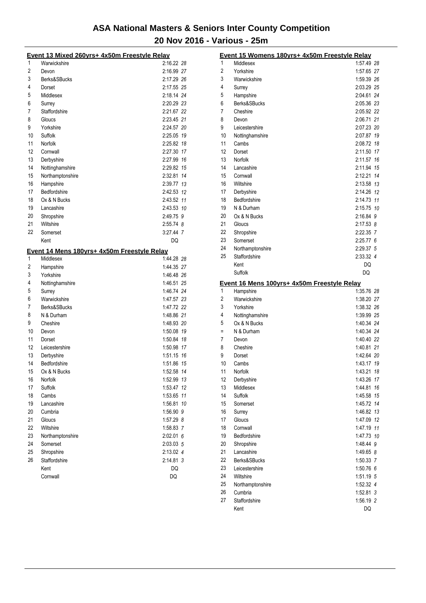|          | Event 13 Mixed 260yrs+ 4x50m Freestyle Relay             |                          |
|----------|----------------------------------------------------------|--------------------------|
| 1        | Warwickshire                                             | 2:16.22 28               |
| 2        | Devon                                                    | 2:16.99 27               |
| 3        | Berks&SBucks                                             | 2:17.29 26               |
| 4        | Dorset                                                   | 2:17.55 25               |
| 5        | Middlesex                                                | 2:18.14 24               |
| 6        | Surrey                                                   | 2:20.29 23               |
| 7        | Staffordshire                                            | 2:21.67 22               |
| 8        | Gloucs                                                   | 2:23.45 21               |
| 9        | Yorkshire                                                | 2:24.57 20               |
| 10       | Suffolk                                                  | 2:25.05 19               |
| 11       | Norfolk                                                  | 2:25.82 18               |
| 12       | Cornwall                                                 | 2:27.30 17               |
| 13       | Derbyshire                                               | 2:27.99 16               |
| 14       | Nottinghamshire                                          | 2:29.82 15               |
| 15       | Northamptonshire                                         | 2:32.81 14               |
| 16       | Hampshire                                                | 2:39.77 13               |
| 17       | Bedfordshire                                             | 2:42.53 12               |
| 18       | Ox & N Bucks                                             | 2:43.52 11               |
| 19       | Lancashire                                               | 2:43.53 10               |
| 20       | Shropshire                                               | 2:49.75 9                |
| 21       | Wiltshire                                                | $2:55.74$ 8              |
| 22       | Somerset                                                 | 3:27.44 7                |
|          | Kent                                                     | DQ                       |
|          |                                                          |                          |
| 1        | Event 14 Mens 180yrs+ 4x50m Freestyle Relay<br>Middlesex | 1:44.28 28               |
| 2        | Hampshire                                                | 1:44.35 27               |
| 3        | Yorkshire                                                | 1:46.48 26               |
| 4        | Nottinghamshire                                          | 1:46.51 25               |
| 5        | Surrey                                                   | 1:46.74 24               |
| 6        | Warwickshire                                             | 1:47.57 23               |
| 7        | Berks&SBucks                                             | 1:47.72 22               |
| 8        | N & Durham                                               | 1:48.86 21               |
| 9        | Cheshire                                                 | 1:48.93 20               |
| 10       | Devon                                                    | 1:50.08 19               |
| 11       | Dorset                                                   | 1:50.84 18               |
| 12       | Leicestershire                                           | 1:50.98 17               |
| 13       | Derbyshire                                               | 1:51.15 16               |
| 14       | Bedfordshire                                             | 1:51.86 15               |
| 15       |                                                          |                          |
| 16       | Ox & N Bucks<br>Norfolk                                  | 1:52.58 14<br>1:52.99 13 |
| 17       | Suffolk                                                  |                          |
| 18       |                                                          | 1:53.47 12<br>1:53.65 11 |
| 19       | Cambs<br>Lancashire                                      | 1:56.81 10               |
| 20       | Cumbria                                                  | 1:56.90 9                |
| 21       | Gloucs                                                   |                          |
| 22       |                                                          | 1:57.29 8<br>1:58.83 7   |
|          | Wiltshire                                                |                          |
| 23<br>24 | Northamptonshire                                         | $2:02.01$ 6              |
|          | Somerset                                                 | 2:03.03 5                |
| 25       | Shropshire                                               | 2:13.02 4                |
| 26       | Staffordshire                                            | 2:14.81 3                |
|          | Kent                                                     | DQ                       |
|          | Cornwall                                                 | DQ                       |

|                | Event 15 Womens 180yrs+ 4x50m Freestyle Relay |                 |
|----------------|-----------------------------------------------|-----------------|
| 1              | Middlesex                                     | 1:57.49 28      |
| $\overline{2}$ | Yorkshire                                     | 1:57.65 27      |
| 3              | Warwickshire                                  | 1:59.39 26      |
| 4              | Surrey                                        | 2:03.29 25      |
| 5              | Hampshire                                     | 2:04.61 24      |
| 6              | Berks&SBucks                                  | 2:05.36 23      |
| 7              | Cheshire                                      | 2:05.92 22      |
| 8              | Devon                                         | 2:06.71 21      |
| 9              | Leicestershire                                | 2:07.23 20      |
| 10             | Nottinghamshire                               | 2:07.87 19      |
| 11             | Cambs                                         | 2:08.72 18      |
| 12             | Dorset                                        | 2:11.50 17      |
| 13             | Norfolk                                       | 2:11.57 16      |
| 14             | Lancashire                                    | 2:11.94 15      |
| 15             | Cornwall                                      | 2:12.21 14      |
| 16             | Wiltshire                                     | 2:13.58 13      |
| 17             | Derbyshire                                    | 2:14.26 12      |
| 18             | Bedfordshire                                  | 2:14.73 11      |
| 19             | N & Durham                                    | 2:15.75 10      |
| 20             | Ox & N Bucks                                  | 2:16.84 9       |
| 21             | Gloucs                                        | 2:17.53 8       |
| 22             | Shropshire                                    | 2:22.35 7       |
| 23             | Somerset                                      | 2:25.776        |
| 24             | Northamptonshire                              | 2:29.37 5       |
| 25             | Staffordshire                                 | 2:33.32 4       |
|                | Kent                                          | DQ              |
|                | Suffolk                                       | DQ              |
|                | Event 16 Mens 100yrs+ 4x50m Freestyle Relay   |                 |
| 1              | Hampshire                                     | 1:35.76 28      |
|                |                                               |                 |
| 2              | Warwickshire                                  | 1:38.20 27      |
| 3              | Yorkshire                                     | 1:38.32 26      |
| 4              | Nottinghamshire                               | 1:39.99 25      |
| 5              | Ox & N Bucks                                  | 1:40.34 24      |
| $\equiv$       | N & Durham                                    | 1:40.34 24      |
| 7              | Devon                                         | 1:40.40 22      |
| 8              | Cheshire                                      | 1:40.81 21      |
| 9              | Dorset                                        | 1:42.64 20      |
| 10             | Cambs                                         | 1:43.17 19      |
| 11             | Norfolk                                       | 1:43.21 18      |
| 12             | Derbyshire                                    | 1:43.26 17      |
| 13             | Middlesex                                     | 1:44.81<br>16   |
| 14             | Suffolk                                       | 1:45.58 15      |
| 15             | Somerset                                      | 1:45.72 14      |
| 16             | Surrey                                        | 1:46.82 13      |
| 17             | Gloucs                                        | 1:47.09 12      |
| 18             | Cornwall                                      | 1:47.19 11      |
| 19             | Bedfordshire                                  | 1:47.73 10      |
| 20             | Shropshire                                    | 1:48.44 9       |
| 21             | Lancashire                                    | 1:49.65 8       |
| 22             | Berks&SBucks                                  | 1:50.33 7       |
| 23             | Leicestershire                                | 1:50.76 6       |
| 24             | Wiltshire                                     | 1:51.19 5       |
| 25             | Northamptonshire                              | 1:52.32 4       |
| 26             | Cumbria                                       | 1:52.81 3       |
| 27             | Staffordshire<br>Kent                         | 1:56.19 2<br>DQ |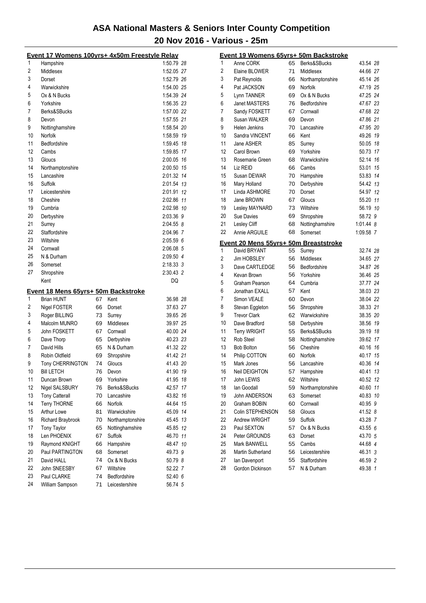|    | Event 17 Womens 100yrs+ 4x50m Freestyle Relay |    |                  |             |                | Event 19 Womens 65yrs+ 50m Backstroke |    |                  |             |
|----|-----------------------------------------------|----|------------------|-------------|----------------|---------------------------------------|----|------------------|-------------|
| 1  | Hampshire                                     |    |                  | 1:50.79 28  | $\mathbf{1}$   | Anne CORK                             | 65 | Berks&SBucks     | 43.54 28    |
| 2  | Middlesex                                     |    |                  | 1:52.05 27  | 2              | Elaine BLOWER                         | 71 | Middlesex        | 44.66 27    |
| 3  | Dorset                                        |    |                  | 1:52.79 26  | 3              | Pat Reynolds                          | 66 | Northamptonshire | 45.14 26    |
| 4  | Warwickshire                                  |    |                  | 1:54.00 25  | 4              | Pat JACKSON                           | 69 | Norfolk          | 47.19 25    |
| 5  | Ox & N Bucks                                  |    |                  | 1:54.39 24  | 5              | Lynn TANNER                           | 69 | Ox & N Bucks     | 47.25 24    |
| 6  | Yorkshire                                     |    |                  | 1:56.35 23  | 6              | Janet MASTERS                         | 76 | Bedfordshire     | 47.67 23    |
| 7  | Berks&SBucks                                  |    |                  | 1:57.00 22  | 7              | Sandy FOSKETT                         | 67 | Cornwall         | 47.68 22    |
| 8  | Devon                                         |    |                  | 1:57.55 21  | 8              | Susan WALKER                          | 69 | Devon            | 47.86 21    |
| 9  | Nottinghamshire                               |    |                  | 1:58.54 20  | 9              | <b>Helen Jenkins</b>                  | 70 | Lancashire       | 47.95 20    |
| 10 | Norfolk                                       |    |                  | 1:58.59 19  | 10             | Sandra VINCENT                        | 66 | Kent             | 49.26 19    |
| 11 | Bedfordshire                                  |    |                  | 1:59.45 18  | 11             | Jane ASHER                            | 85 | Surrey           | 50.05 18    |
| 12 | Cambs                                         |    |                  | 1:59.85 17  | 12             | Carol Brown                           | 69 | Yorkshire        | 50.73 17    |
| 13 | Gloucs                                        |    |                  | 2:00.05 16  | 13             | Rosemarie Green                       | 68 | Warwickshire     | 52.14 16    |
| 14 | Northamptonshire                              |    |                  | 2:00.50 15  | 14             | Liz REID                              | 66 | Cambs            | 53.01 15    |
| 15 | Lancashire                                    |    |                  | 2:01.32 14  | 15             | Susan DEWAR                           | 70 | Hampshire        | 53.83 14    |
| 16 | Suffolk                                       |    |                  | 2:01.54 13  | 16             | Mary Holland                          | 70 | Derbyshire       | 54.42 13    |
| 17 | Leicestershire                                |    |                  | 2:01.91 12  | 17             | Linda ASHMORE                         | 70 | Dorset           | 54.97 12    |
| 18 |                                               |    |                  | 2:02.86 11  | 18             | Jane BROWN                            | 67 | Gloucs           | 55.20 11    |
|    | Cheshire                                      |    |                  |             |                |                                       |    |                  |             |
| 19 | Cumbria                                       |    |                  | 2:02.98 10  | 19             | Lesley MAYNARD                        | 73 | Wiltshire        | 56.19 10    |
| 20 | Derbyshire                                    |    |                  | 2:03.36 9   | 20             | Sue Davies                            | 69 | Shropshire       | 58.72 9     |
| 21 | Surrey                                        |    |                  | 2:04.55 8   | 21             | Lesley Cliff                          | 68 | Nottinghamshire  | $1:01.44$ 8 |
| 22 | Staffordshire                                 |    |                  | 2:04.96 7   | 22             | Annie ARGUILE                         | 68 | Somerset         | 1:09.58 7   |
| 23 | Wiltshire                                     |    |                  | 2:05.59 6   |                | Event 20 Mens 55yrs+ 50m Breaststroke |    |                  |             |
| 24 | Cornwall                                      |    |                  | 2:06.08 5   | 1              | David BRYANT                          | 55 | Surrey           | 32.74 28    |
| 25 | N & Durham                                    |    |                  | 2:09.50 4   | $\overline{2}$ | Jim HOBSLEY                           | 56 | Middlesex        | 34.65 27    |
| 26 | Somerset                                      |    |                  | $2:18.33$ 3 | 3              | Dave CARTLEDGE                        | 56 | Bedfordshire     | 34.87 26    |
| 27 | Shropshire                                    |    |                  | 2:30.43 2   | 4              | Kevan Brown                           | 56 | Yorkshire        | 36.46 25    |
|    | Kent                                          |    |                  | DQ          | $\mathbf 5$    | Graham Pearson                        | 64 | Cumbria          | 37.77 24    |
|    | Event 18 Mens 65yrs+ 50m Backstroke           |    |                  |             | 6              | Jonathan EXALL                        | 57 | Kent             | 38.03 23    |
| 1  | <b>Brian HUNT</b>                             | 67 | Kent             | 36.98 28    | $\overline{7}$ | Simon VEALE                           | 60 | Devon            | 38.04 22    |
| 2  | Nigel FOSTER                                  | 66 | Dorset           | 37.63 27    | 8              | Stevan Eggleton                       | 56 | Shropshire       | 38.33 21    |
| 3  | Roger BILLING                                 | 73 | Surrey           | 39.65 26    | 9              | <b>Trevor Clark</b>                   | 62 | Warwickshire     | 38.35 20    |
| 4  | Malcolm MUNRO                                 | 69 | Middlesex        | 39.97 25    | 10             | Dave Bradford                         | 58 | Derbyshire       | 38.56 19    |
| 5  | John FOSKETT                                  | 67 | Cornwall         | 40.00 24    | 11             | <b>Terry WRIGHT</b>                   | 55 | Berks&SBucks     | 39.19 18    |
| 6  | Dave Thorp                                    | 65 | Derbyshire       | 40.23 23    | 12             | <b>Rob Steel</b>                      | 58 | Nottinghamshire  | 39.62 17    |
| 7  | David Hills                                   | 65 | N & Durham       | 41.32 22    | 13             | <b>Bob Bolton</b>                     | 56 | Cheshire         | 40.16 16    |
| 8  | Robin Oldfield                                | 69 | Shropshire       | 41.42 21    | 14             | Philip COTTON                         | 60 | Norfolk          | 40.17 15    |
| 9  | Tony CHERRINGTON                              | 74 | Gloucs           | 41.43 20    | 15             | Mark Jones                            | 56 | Lancashire       | 40.36 14    |
| 10 | <b>Bill LETCH</b>                             |    | 76 Devon         | 41.90 19    | 16             | Neil DEIGHTON                         |    | 57 Hampshire     | 40.41 13    |
| 11 | Duncan Brown                                  | 69 | Yorkshire        | 41.95 18    | 17             | John LEWIS                            | 62 | Wiltshire        | 40.52 12    |
| 12 | Nigel SALSBURY                                |    | Berks&SBucks     | 42.57 17    | 18             | lan Goodall                           | 59 | Northamptonshire | 40.60 11    |
| 13 | <b>Tony Catterall</b>                         | 76 | Lancashire       | 43.82 16    | 19             |                                       |    | Somerset         | 40.83 10    |
|    |                                               | 70 |                  |             |                | John ANDERSON                         | 63 |                  |             |
| 14 | <b>Terry THORNE</b>                           | 66 | Norfolk          | 44.64 15    | 20             | Graham BOBIN                          | 60 | Cornwall         | 40.95 9     |
| 15 | Arthur Lowe                                   | 81 | Warwickshire     | 45.09 14    | 21             | Colin STEPHENSON                      | 58 | Gloucs           | 41.52 8     |
| 16 | Richard Braybrook                             | 70 | Northamptonshire | 45.45 13    | 22             | Andrew WRIGHT                         | 59 | Suffolk          | 43.28 7     |
| 17 | Tony Taylor                                   | 65 | Nottinghamshire  | 45.85 12    | 23             | Paul SEXTON                           | 57 | Ox & N Bucks     | 43.55 6     |
| 18 | Len PHOENIX                                   | 67 | Suffolk          | 46.70 11    | 24             | Peter GROUNDS                         | 63 | Dorset           | 43.70 5     |
| 19 | Raymond KNIGHT                                | 66 | Hampshire        | 48.47 10    | 25             | Mark BANWELL                          | 55 | Cambs            | 44.68 4     |
| 20 | Paul PARTINGTON                               | 68 | Somerset         | 49.73 9     | 26             | Martin Sutherland                     | 56 | Leicestershire   | 46.31 3     |
| 21 | David HALL                                    | 74 | Ox & N Bucks     | 50.79 8     | 27             | lan Davenport                         | 55 | Staffordshire    | 46.59 2     |
| 22 | John SNEESBY                                  | 67 | Wiltshire        | 52.22 7     | 28             | Gordon Dickinson                      | 57 | N & Durham       | 49.38 1     |
| 23 | Paul CLARKE                                   | 74 | Bedfordshire     | 52.40 6     |                |                                       |    |                  |             |
| 24 | William Sampson                               | 71 | Leicestershire   | 56.74 5     |                |                                       |    |                  |             |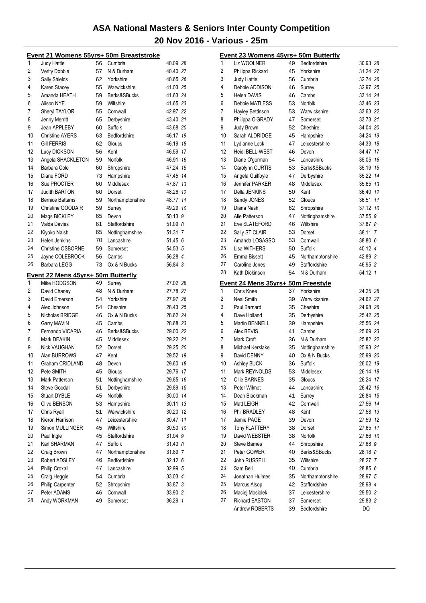|                | <u> Event 21 Womens 55yrs+ 50m Breaststroke</u> |          |                       |                    |    |
|----------------|-------------------------------------------------|----------|-----------------------|--------------------|----|
| 1              | Judy Hattle                                     | 56       | Cumbria               | 40.09 28           |    |
| $\overline{2}$ | Verity Dobbie                                   | 57       | N & Durham            | 40.40 27           |    |
| 3              | Sally Shields                                   | 62       | Yorkshire             | 40.65 26           |    |
| 4              | Karen Stacey                                    | 55       | Warwickshire          | 41.03 25           |    |
| 5              | Amanda HEATH                                    | 59       | Berks&SBucks          | 41.63 24           |    |
| 6              | Alison NYE                                      | 59       | Wiltshire             | 41.65 23           |    |
| 7              | <b>Sheryl TAYLOR</b>                            | 55       | Cornwall              | 42.97 22           |    |
| 8              | Jenny Merritt                                   | 65       | Derbyshire            | 43.40 21           |    |
| 9              | Jean APPLEBY                                    | 60       | Suffolk               | 43.68 20           |    |
| 10             | <b>Christine AYERS</b>                          | 63       | Bedfordshire          | 46.17 19           |    |
| 11             | <b>Gill FERRIS</b>                              | 62       | Gloucs                | 46.19 18           |    |
| 12             | Lucy DICKSON                                    | 56       | Kent                  | 46.59 17           |    |
| 13             | Angela SHACKLETON                               | 59       | Norfolk               | 46.91 16           |    |
| 14             | Barbara Cole                                    | 60       | Shropshire            | 47.24 15           |    |
| 15             | Diane FORD                                      | 73       | Hampshire             | 47.45 14           |    |
| 16             | Sue PROCTER                                     | 60       | Middlesex             | 47.87 13           |    |
| 17             | <b>Judith BARTON</b>                            | 60       | Dorset                | 48.26 12           |    |
| 18             | <b>Bernice Battams</b>                          | 59       | Northamptonshire      | 48.77 11           |    |
| 19             | Christine GOODAIR                               | 59       | Surrey                | 49.29 10           |    |
| 20             | Mags BICKLEY                                    | 65       | Devon                 | 50.13 9            |    |
| 21             | <b>Valda Davies</b>                             | 61       | Staffordshire         | 51.09 8            |    |
| 22<br>23       | Kiyoko Naish                                    | 65       | Nottinghamshire       | 51.31 7            |    |
|                | Helen Jenkins                                   | 70       | Lancashire            | 51.45 6            |    |
| 24<br>25       | <b>Christine OSBORNE</b>                        | 59       | Somerset              | 54.53 5<br>56.28 4 |    |
| 26             | Jayne COLEBROOK                                 | 56       | Cambs                 | 56.84 3            |    |
|                | Barbara LEGG                                    | 73       | Ox & N Bucks          |                    |    |
|                | Event 22 Mens 45yrs+ 50m Butterfly              |          |                       |                    |    |
| 1              | Mike HODGSON                                    | 49       | Surrey                | 27.02 28           |    |
| 2              | David Chaney                                    | 48       | N & Durham            | 27.78 27           |    |
| 3              | David Emerson                                   | 54       | Yorkshire             | 27.97 26           |    |
| 4              | Alec Johnson                                    | 54       | Cheshire              | 28.43 25           |    |
| 5              | Nicholas BRIDGE                                 | 46       | Ox & N Bucks          | 28.62 24           |    |
| 6              | Garry MAVIN                                     | 45       | Cambs                 | 28.68 23           |    |
| 7              | Fernando VICARIA                                | 46       | Berks&SBucks          | 29.00 22           |    |
| 8              | Mark DEAKIN                                     | 45       | Middlesex             | 29.22 21           |    |
| 9              | Nick VAUGHAN                                    | 52       | Dorset                | 29.25 20           |    |
| 10             | Alan BURROWS                                    | 47       | Kent                  | 29.52 19           |    |
| 11             | Graham CRIDLAND                                 | 48       | Devon                 | 29.60 18           |    |
| 12             | Pete SMITH                                      | 45       | Gloucs                | 29.76              | 17 |
| 13<br>14       | Mark Patterson<br><b>Steve Goodall</b>          | 51       | Nottinghamshire       | 29.85 16           | 15 |
| 15             | <b>Stuart DYBLE</b>                             | 51<br>45 | Derbyshire<br>Norfolk | 29.89<br>30.00 14  |    |
| 16             | Clive BENSON                                    | 53       | Hampshire             | 30.11              | 13 |
| 17             | Chris Ryall                                     | 51       | Warwickshire          | 30.20 12           |    |
| 18             | Kieron Harrison                                 | 47       | Leicestershire        | 30.47              | 11 |
| 19             | Simon MULLINGER                                 | 45       | Wiltshire             | 30.50 10           |    |
| 20             | Paul Ingle                                      | 45       | Staffordshire         | 31.04 9            |    |
| 21             | Karl SHARMAN                                    | 47       | Suffolk               | 31.43 8            |    |
| 22             | Craig Brown                                     | 47       | Northamptonshire      | 31.89 7            |    |
| 23             | Robert ADSLEY                                   | 46       | Bedfordshire          | 32.12 6            |    |
| 24             | <b>Philip Croxall</b>                           | 47       | Lancashire            | 32.99 5            |    |
| 25             | Craig Heggie                                    | 54       | Cumbria               | 33.03 4            |    |
| 26             | <b>Philip Carpenter</b>                         | 52       | Shropshire            | 33.87 3            |    |
| 27             | Peter ADAMS                                     | 46       | Cornwall              | 33.90 2            |    |
| 28             | Andy WORKMAN                                    | 49       | Somerset              | 36.29 1            |    |
|                |                                                 |          |                       |                    |    |

|                | <u>Event 23 Womens 45yrs+ 50m Butterfly</u> |          |                                 |                   |    |
|----------------|---------------------------------------------|----------|---------------------------------|-------------------|----|
| 1              | Liz WOOLNER                                 | 49       | Bedfordshire                    | 30.93 28          |    |
| $\overline{2}$ | Philippa Rickard                            | 45       | Yorkshire                       | 31.24 27          |    |
| 3              | Judy Hattle                                 | 56       | Cumbria                         | 32.74 26          |    |
| 4              | Debbie ADDISON                              | 46       | Surrey                          | 32.97 25          |    |
| 5              | <b>Helen DAVIS</b>                          | 46       | Cambs                           | 33.14 24          |    |
| 6              | Debbie MATLESS                              | 53       | Norfolk                         | 33.46 23          |    |
| 7              | Hayley Bettinson                            | 53       | Warwickshire                    | 33.63 22          |    |
| 8              | Philippa O'GRADY                            | 47       | Somerset                        | 33.73 21          |    |
| 9              | Judy Brown                                  | 52       | Cheshire                        | 34.04 20          |    |
| 10             | Sarah ALDRIDGE                              | 45       | Hampshire                       | 34.24 19          |    |
| 11             | Lydianne Lock                               | 47       | Leicestershire                  | 34.33 18          |    |
| 12             | Heidi BELL-WEST                             | 46       | Devon                           | 34.47 17          |    |
| 13             | Diane O'gorman                              | 54       | Lancashire                      | 35.05 16          |    |
| 14             | Carolynn CURTIS                             | 53       | Berks&SBucks                    | 35.19 15          |    |
| 15             | Angela Guilfoyle                            | 47       | Derbyshire                      | 35.22 14          |    |
| 16             | <b>Jennifer PARKER</b>                      | 48       | Middlesex                       | 35.65 13          |    |
| 17             | Della JENKINS                               | 50       | Kent                            | 36.40 12          |    |
| 18             | Sandy JONES                                 | 52       | Gloucs                          | 36.51 11          |    |
| 19             | Diana Nash                                  | 62       | Shropshire                      | 37.12 10          |    |
| 20             | Alie Patterson                              | 47       | Nottinghamshire                 | 37.55 9           |    |
| 21             | Eve SLATEFORD                               | 46       | Wiltshire                       | 37.87 8           |    |
| 22             | Sally ST CLAIR                              | 53       | Dorset                          | 38.11 7           |    |
| 23             | Amanda LOSASSO                              | 53       | Cornwall                        | 38.80 6           |    |
| 25             | Lisa WITHERS                                | 50       | Suffolk                         | 40.12 4           |    |
| 26             | Emma Bissett                                | 45       | Northamptonshire                | 42.89 3           |    |
| 27             | Caroline Jones                              | 49       | Staffordshire                   | 46.95 2           |    |
| 28             | Kath Dickinson                              | 54       | N & Durham                      | 54.12 1           |    |
|                | Event 24 Mens 35yrs+ 50m Freestyle          |          |                                 |                   |    |
| 1              | Chris Knee                                  | 37       | Yorkshire                       | 24.25 28          |    |
| 2              | <b>Neal Smith</b>                           | 39       | Warwickshire                    | 24.62 27          |    |
| 3              | Paul Barnard                                | 35       | Cheshire                        | 24.98 26          |    |
| 4              | Dave Holland                                | 35       | Derbyshire                      | 25.42 25          |    |
| 5              | <b>Martin BENNELL</b>                       | 39       | Hampshire                       | 25.56 24          |    |
| 6              | Alex BEVIS                                  | 41       | Cambs                           | 25.69 23          |    |
| 7              | Mark Croft                                  | 36       | N & Durham                      | 25.82 22          |    |
| 8              | Michael Kerslake                            | 35       | Nottinghamshire<br>Ox & N Bucks | 25.93 21          |    |
| 9<br>10        | David DENNY                                 | 40       |                                 | 25.99 20          |    |
| 11             | Ashley BUCK                                 | 36       | Suffolk                         | 26.02 19          |    |
|                | Mark REYNOLDS                               | 53       | Middlesex                       | 26.14 18          |    |
| 12             | Ollie BARNES                                | 35       | Gloucs                          | 26.24 17          |    |
| 13<br>14       | Peter Wilmot                                | 44       | Lancashire                      | 26.42             | 16 |
|                | Dean Blackman                               | 41       | Surrey                          | 26.84 15          |    |
| 15<br>16       | Matt LEIGH                                  | 42       | Cornwall                        | 27.56<br>27.58 13 | 14 |
| 17             | Phil BRADLEY<br>Jamie PAGE                  | 48       | Kent                            | 27.59 12          |    |
| 18             |                                             | 39       | Devon                           | 27.65 11          |    |
| 19             | <b>Tony FLATTERY</b>                        | 38       | Dorset<br>Norfolk               |                   |    |
| 20             | David WEBSTER                               | 38       |                                 | 27.66 10          |    |
| 21             | <b>Steve Barnes</b>                         | 44       | Shropshire<br>Berks&SBucks      | 27.68 9           |    |
| 22             | Peter GOWER                                 | 40       |                                 | 28.18 8           |    |
| 23             | John RUSSELL                                | 35       | Wiltshire                       | 28.27 7           |    |
| 24             | Sam Bell                                    | 40       | Cumbria                         | 28.85 6           |    |
| 25             | Jonathan Hulmes                             | 35       | Northamptonshire                | 28.97 5           |    |
| 26             | Marcus Alsop                                | 42       | Staffordshire                   | 28.98 4           |    |
| 27             | Maciej Mosiolek<br><b>Richard EASTON</b>    | 37       | Leicestershire                  | 29.50 3           |    |
|                | Andrew ROBERTS                              | 37<br>39 | Somerset<br>Bedfordshire        | 29.83 2<br>DQ     |    |
|                |                                             |          |                                 |                   |    |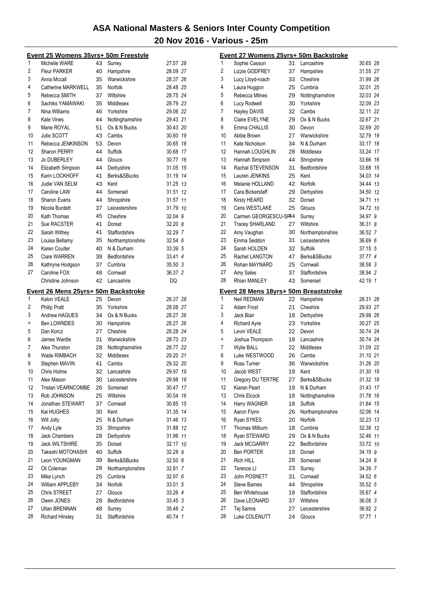|     | Event 25 Womens 35yrs+ 50m Freestyle               |    |                  |          |
|-----|----------------------------------------------------|----|------------------|----------|
| 1   | Michelle WARE                                      | 43 | Surrey           | 27.57 28 |
| 2   | <b>Fleur PARKER</b>                                | 40 | Hampshire        | 28.09 27 |
| 3   | Anna Mccall                                        | 35 | Warwickshire     | 28.37 26 |
| 4   | Catherine MARKWELL                                 | 35 | Norfolk          | 28.48 25 |
| 5   | Rebecca SMITH                                      | 37 | Wiltshire        | 28.75 24 |
| 6   | Sachiks YAMAWAKI                                   | 35 | Middlesex        | 28.79 23 |
| 7   | Nina Williams                                      | 46 | Yorkshire        | 29.06 22 |
| 8   | Kate Vines                                         | 44 | Nottinghamshire  | 29.43 21 |
| 9   | Marie ROYAL                                        | 51 | Ox & N Bucks     | 30.43 20 |
| 10  | Julie SCOTT                                        | 43 | Cambs            | 30.60 19 |
| 11  | Rebecca JENKINSON                                  | 53 | Devon            | 30.65 18 |
| 12  | <b>Sharon PERRY</b>                                | 44 | Suffolk          | 30.68 17 |
| 13  | <b>Jo DUBERLEY</b>                                 | 44 | Gloucs           | 30.77 16 |
| 14  | Elizabeth Simpson                                  | 44 | Derbyshire       | 31.05 15 |
| 15  | Karin LOCKHOFF                                     | 41 | Berks&SBucks     | 31.19 14 |
| 16  | <b>Judie VAN SELM</b>                              | 43 | Kent             | 31.25 13 |
| 17  | Caroline LAW                                       | 44 | Somerset         | 31.51 12 |
| 18  | Sharon Evans                                       | 44 | Shropshire       | 31.57 11 |
| 19  | Nicola Burdett                                     | 37 | Leicestershire   | 31.79 10 |
| 20  | Kath Thomas                                        | 45 | Cheshire         | 32.04 9  |
| 21  | Sue RACSTER                                        | 41 | Dorset           | 32.20 8  |
| 22  | Sarah Withey                                       | 41 | Staffordshire    | 32.29 7  |
| 23  | Louisa Bellamy                                     | 35 | Northamptonshire | 32.54 6  |
| 24  | Karen Coulter                                      | 40 | N & Durham       | 33.39 5  |
| 25  | <b>Clare WARREN</b>                                | 39 | Bedfordshire     | 33.41 4  |
| 26  | Kathryne Hodgson                                   | 37 | Cumbria          | 35.50 3  |
| 27  | Caroline FOX                                       | 48 | Cornwall         | 36.37 2  |
|     | Christine Johnson                                  | 42 | Lancashire       | DQ       |
|     |                                                    |    |                  |          |
|     |                                                    |    |                  |          |
| 1   | Event 26 Mens 25yrs+ 50m Backstroke<br>Kalon VEALE | 25 | Devon            | 26.37 28 |
| 2   | <b>Philip Pratt</b>                                | 35 | Yorkshire        | 28.08 27 |
| 3   | <b>Andrew HAGUES</b>                               | 34 | Ox & N Bucks     | 28.27 26 |
| $=$ | <b>Ben LOWNDES</b>                                 | 30 | Hampshire        | 28.27 26 |
| 5   | Dan Korcz                                          | 27 | Cheshire         | 28.28 24 |
| 6   | James Wardle                                       | 31 | Warwickshire     | 28.73 23 |
| 7   | Alex Thurston                                      | 28 | Nottinghamshire  | 28.77 22 |
| 8   | Wade RIMBACH                                       | 32 | Middlesex        | 29.20 21 |
| 9   | Stephen MAVIN                                      | 41 | Cambs            | 29.32 20 |
| 10  | Chris Holme                                        | 32 | Lancashire       | 29.97 19 |
| 11  | Alex Mason                                         | 30 | Leicestershire   | 29.98 18 |
| 12  | <b>Tristan VEARNCOMBE</b>                          | 26 | Somerset         | 30.47 17 |
| 13  | Rob JOHNSON                                        | 25 | Wiltshire        | 30.54 16 |
| 14  | Jonathan STEWART                                   | 37 | Cornwall         | 30.85 15 |
| 15  | Kai HUGHES                                         | 30 | Kent             | 31.35 14 |
| 16  | Will Jolly                                         | 25 | N & Durham       | 31.46 13 |
| 17  | Andy Lyle                                          | 33 | Shropshire       | 31.88 12 |
| 18  | <b>Jack Chambers</b>                               | 28 | Derbyshire       | 31.96 11 |
| 19  | <b>Jack WILTSHIRE</b>                              | 35 | Dorset           | 32.17 10 |
| 20  | Takeshi MOTOHASHI                                  | 40 | Suffolk          | 32.28 9  |
| 21  | Leon YOUNGMAN                                      | 39 | Berks&SBucks     | 32.50 8  |
| 22  | Oli Coleman                                        | 28 | Northamptonshire | 32.81 7  |
| 23  | Mike Lynch                                         | 25 | Cumbria          | 32.97 6  |
| 24  | William APPLEBY                                    | 34 | Norfolk          | 33.01 5  |
| 25  | Chris STREET                                       | 27 | Gloucs           | 33.26 4  |
| 26  | Owen JONES                                         | 28 | Bedfordshire     | 33.45 3  |
| 27  | Ultan BRENNAN                                      | 48 | Surrey           | 35.48 2  |

|                | <u> Event 27 Womens 25yrs+ 50m Backstroke</u> |    |                  |          |  |
|----------------|-----------------------------------------------|----|------------------|----------|--|
| 1              | Sophie Casson                                 | 31 | Lancashire       | 30.65 28 |  |
| $\overline{2}$ | Lizzie GODFREY                                | 37 | Hampshire        | 31.55 27 |  |
| 3              | Lucy Lloyd-roach                              | 33 | Cheshire         | 31.99 26 |  |
| 4              | Laura Huggon                                  | 25 | Cumbria          | 32.01 25 |  |
| 5              | Rebecca Milnes                                | 29 | Nottinghamshire  | 32.03 24 |  |
| 6              | Lucy Rodwell                                  | 30 | Yorkshire        | 32.09 23 |  |
| 7              | Hayley DAVIS                                  | 32 | Cambs            | 32.11 22 |  |
| 8              | <b>Claire EVELYNE</b>                         | 29 | Ox & N Bucks     | 32.67 21 |  |
| 9              | Emma CHALLIS                                  | 30 | Devon            | 32.69 20 |  |
| 10             | Abbie Brown                                   | 27 | Warwickshire     | 32.79 19 |  |
| 11             | Kate Nicholson                                | 34 | N & Durham       | 33.17 18 |  |
| 12             | Hannah LOUGHLIN                               | 28 | Middlesex        | 33.24 17 |  |
| 13             | Hannah Simpson                                | 44 | Shropshire       | 33.66 16 |  |
| 14             | Rachal STEVENSON                              | 31 | Bedfordshire     | 33.68 15 |  |
| 15             | Lauren JENKINS                                | 25 | Kent             | 34.03 14 |  |
| 16             | Melanie HOLLAND                               | 42 | Norfolk          | 34.44 13 |  |
| 17             | Cara Bickerstaff                              | 29 | Derbyshire       | 34.50 12 |  |
| 18             | <b>Kirsty HEARD</b>                           | 32 | Dorset           | 34.71 11 |  |
| 19             | Ceris WESTLAKE                                | 25 | Gloucs           | 34.72 10 |  |
| 20             | Carmen GEORGESCU-SP44                         |    | Surrey           | 34.97 9  |  |
| 21             | <b>Tracey SHARLAND</b>                        | 27 | Wiltshire        | 36.31 8  |  |
| 22             | Amy Vaughan                                   | 30 | Northamptonshire | 36.52 7  |  |
| 23             | Emma Seddon                                   | 31 | Leicestershire   | 36.69 6  |  |
| 24             | Sarah HOLDEN                                  | 32 | Suffolk          | 37.15 5  |  |
| 25             | Rachel LANGTON                                | 47 | Berks&SBucks     | 37.77 4  |  |
| 26             | Rohan MAYNARD                                 | 25 | Cornwall         | 38.58 3  |  |
| 27             | Amy Sales                                     | 37 | Staffordshire    | 38.94 2  |  |
| 28             | <b>Rhian MANLEY</b>                           | 43 | Somerset         | 42.19 1  |  |
|                |                                               |    |                  |          |  |
|                |                                               |    |                  |          |  |
|                | Event 28 Mens 18yrs+ 50m Breaststroke         |    |                  |          |  |
| 1              | <b>Neil REDMAN</b>                            | 22 | Hampshire        | 28.31 28 |  |
| 2              | Adam Frost                                    | 21 | Cheshire         | 29.93 27 |  |
| 3              | Jack Blair                                    | 18 | Derbyshire       | 29.98 26 |  |
| 4              | <b>Richard Ayre</b>                           | 23 | Yorkshire        | 30.27 25 |  |
| 5              | Levin VEALE                                   | 22 | Devon            | 30.74 24 |  |
| Ξ              | Joshua Thompson                               | 18 | Lancashire       | 30.74 24 |  |
| 7              | <b>Wylie BALL</b>                             | 22 | Middlesex        | 31.09 22 |  |
| 8              | Luke WESTWOOD                                 | 26 | Cambs            | 31.10 21 |  |
| 9              | Ross Turner                                   | 36 | Warwickshire     | 31.26 20 |  |
| 10             | Jacob WEST                                    | 19 | Kent             | 31.30 19 |  |
| 11             | Gregory DU TERTRE                             | 27 | Berks&SBucks     | 31.32 18 |  |
| 12             | Kiaran Peart                                  | 19 | N & Durham       | 31.43 17 |  |
| 13             | Chris Elcock                                  | 18 | Nottinghamshire  | 31.78 16 |  |
| 14             | Harry WAGNER                                  | 18 | Suffolk          | 31.84 15 |  |
| 15             | Aaron Flynn                                   | 26 | Northamptonshire | 32.06 14 |  |
| 16             | Ryan SYKES                                    | 20 | Norfolk          | 32.23 13 |  |
| 17             | <b>Thomas Milburn</b>                         | 18 | Cumbria          | 32.38 12 |  |
| 18             | Ryan STEWARD                                  | 29 | Ox & N Bucks     | 32.46 11 |  |
| 19             | Jack MCGARRY                                  | 22 | Bedfordshire     | 33.72 10 |  |
| 20             | <b>Ben PORTER</b>                             | 19 | Dorset           | 34.19 9  |  |
| 21             | Rich HILL                                     | 28 | Somerset         | 34.24 8  |  |
| 22             | Terence LI                                    | 23 | Surrey           | 34.39 7  |  |
| 23             | John POSNETT                                  | 31 | Cornwall         | 34.52 6  |  |
| 24             | <b>Steve Barnes</b>                           | 44 | Shropshire       | 35.52 5  |  |
| 25             | Ben Whitehouse                                | 18 | Staffordshire    | 35.67 4  |  |
| 26             | Dave LEONARD                                  | 37 | Wiltshire        | 36.08 3  |  |
| 27             | Tej Samra                                     | 27 | Leicestershire   | 36.92 2  |  |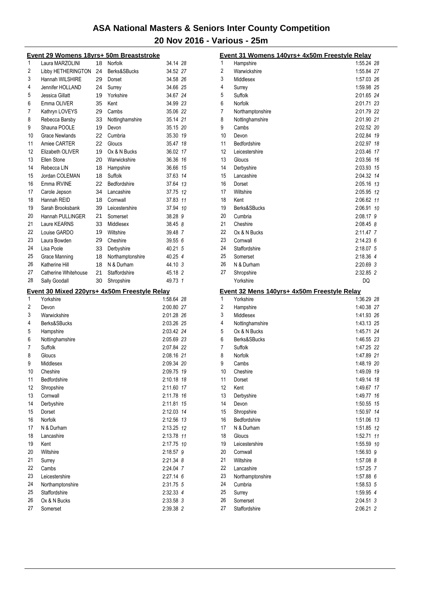|          | <u> Event 29 Womens 18yrs+ 50m Breaststroke</u>           |    |                  |                          |  |
|----------|-----------------------------------------------------------|----|------------------|--------------------------|--|
| 1        | Laura MARZOLINI                                           | 18 | Norfolk          | 34.14 28                 |  |
| 2        | Libby HETHERINGTON                                        | 24 | Berks&SBucks     | 34.52 27                 |  |
| 3        | Hannah WILSHIRE                                           | 29 | Dorset           | 34.58 26                 |  |
| 4        | Jennifer HOLLAND                                          | 24 | Surrey           | 34.66 25                 |  |
| 5        | Jessica Gillatt                                           | 19 | Yorkshire        | 34.67 24                 |  |
| 6        | Emma OLIVER                                               | 35 | Kent             | 34.99 23                 |  |
| 7        | Kathryn LOVEYS                                            | 29 | Cambs            | 35.06 22                 |  |
| 8        | Rebecca Barsby                                            | 33 | Nottinghamshire  | 35.14 21                 |  |
| 9        | Shauna POOLE                                              | 19 | Devon            | 35.15 20                 |  |
| 10       | Grace Newlands                                            | 22 | Cumbria          | 35.30 19                 |  |
| 11       | Amiee CARTER                                              | 22 | Gloucs           | 35.47 18                 |  |
| 12       | Elizabeth OLIVER                                          | 19 | Ox & N Bucks     | 36.02 17                 |  |
| 13       | Ellen Stone                                               | 20 | Warwickshire     | 36.36 16                 |  |
| 14       | Rebecca LIN                                               | 18 | Hampshire        | 36.66 15                 |  |
| 15       | Jordan COLEMAN                                            | 18 | Suffolk          | 37.63 14                 |  |
| 16       | Emma IRVINE                                               | 22 | Bedfordshire     | 37.64 13                 |  |
| 17       | Carole Jepson                                             | 34 | Lancashire       | 37.75 12                 |  |
| 18       | Hannah REID                                               | 18 | Cornwall         | 37.83 11                 |  |
| 19       | Sarah Brooksbank                                          |    | Leicestershire   | 37.94 10                 |  |
|          | Hannah PULLINGER                                          | 39 |                  | 38.28 9                  |  |
| 20       |                                                           | 21 | Somerset         |                          |  |
| 21       | Laure KEARNS                                              | 33 | Middlesex        | 38.45 8                  |  |
| 22       | Louise GARDO                                              | 19 | Wiltshire        | 39.48 7                  |  |
| 23       | Laura Bowden                                              | 29 | Cheshire         | 39.55 6                  |  |
| 24       | Lisa Poole                                                | 33 | Derbyshire       | 40.21 5                  |  |
| 25       | <b>Grace Manning</b>                                      | 18 | Northamptonshire | 40.25 4                  |  |
| 26       | Katherine Hill                                            | 18 | N & Durham       | 44.10 3                  |  |
| 27       | Catherine Whitehouse                                      | 21 | Staffordshire    | 45.18 2                  |  |
|          |                                                           | 30 |                  | 49.73 1                  |  |
| 28       | Sally Goodall                                             |    | Shropshire       |                          |  |
|          |                                                           |    |                  |                          |  |
| 1        | Event 30 Mixed 220yrs+ 4x50m Freestyle Relay<br>Yorkshire |    |                  | 1:58.64 28               |  |
| 2        | Devon                                                     |    |                  | 2:00.80 27               |  |
| 3        | Warwickshire                                              |    |                  | 2:01.28 26               |  |
| 4        | Berks&SBucks                                              |    |                  |                          |  |
| 5        |                                                           |    |                  | 2:03.26 25<br>2:03.42 24 |  |
|          | Hampshire                                                 |    |                  |                          |  |
| 6        | Nottinghamshire                                           |    |                  | 2:05.69 23               |  |
| 7        | Suffolk                                                   |    |                  | 2:07.84 22               |  |
| 8        | Gloucs                                                    |    |                  | 2:08.16 21               |  |
| 9        | Middlesex                                                 |    |                  | 2:09.34 20               |  |
| 10       | Cheshire                                                  |    |                  | 2:09.75 19               |  |
| 11       | Bedfordshire                                              |    |                  | 2:10.18 18               |  |
| 12       | Shropshire                                                |    |                  | 2:11.60 17               |  |
| 13       | Cornwall                                                  |    |                  | 2:11.78 16               |  |
| 14       | Derbyshire                                                |    |                  | 2:11.81 15               |  |
| 15       | Dorset                                                    |    |                  | 2:12.03 14               |  |
| 16       | <b>Norfolk</b>                                            |    |                  | 2:12.56 13               |  |
| 17       | N & Durham                                                |    |                  | 2:13.25 12               |  |
| 18       | Lancashire                                                |    |                  | 2:13.78 11               |  |
| 19       | Kent                                                      |    |                  | 2:17.75 10               |  |
| 20       | Wiltshire                                                 |    |                  | 2:18.57 9                |  |
| 21       | Surrey                                                    |    |                  | 2:21.34 8                |  |
| 22       | Cambs                                                     |    |                  | 2:24.04 7                |  |
| 23       | Leicestershire                                            |    |                  | 2:27.14 6                |  |
| 24       | Northamptonshire                                          |    |                  | 2:31.75 5                |  |
| 25       | Staffordshire                                             |    |                  | 2:32.33 4                |  |
| 26<br>27 | Ox & N Bucks                                              |    |                  | 2:33.58 3<br>2:39.38 2   |  |

|          | Event 31 Womens 140yrs+ 4x50m Freestyle Relay      |                        |    |
|----------|----------------------------------------------------|------------------------|----|
| 1        | Hampshire                                          | 1:55.24 28             |    |
| 2        | Warwickshire                                       | 1:55.84 27             |    |
| 3        | Middlesex                                          | 1:57.03 26             |    |
| 4        | Surrey                                             | 1:59.98 25             |    |
| 5        | Suffolk                                            | 2:01.65 24             |    |
| 6        | Norfolk                                            | 2:01.71 23             |    |
| 7        | Northamptonshire                                   | 2:01.79 22             |    |
| 8        | Nottinghamshire                                    | 2:01.90 21             |    |
| 9        | Cambs                                              | 2:02.52 20             |    |
| 10       | Devon                                              | 2:02.84 19             |    |
| 11       | Bedfordshire                                       | 2:02.97 18             |    |
| 12       | Leicestershire                                     | 2:03.46                | 17 |
| 13       | Gloucs                                             | 2:03.56                | 16 |
| 14       | Derbyshire                                         | 2:03.93 15             |    |
| 15       | Lancashire                                         | 2:04.32 14             |    |
| 16       | Dorset                                             | 2:05.16 13             |    |
| 17       | Wiltshire                                          | 2:05.95 12             |    |
| 18       | Kent                                               | 2:06.62 11             |    |
| 19       | Berks&SBucks                                       | 2:06.91                | 10 |
| 20       | Cumbria                                            | 2:08.17 9              |    |
| 21       | Cheshire                                           | 2:08.45 8              |    |
| 22       | Ox & N Bucks                                       | 2:11.47 7              |    |
| 23       | Cornwall                                           | 2:14.23 6              |    |
| 24       | Staffordshire                                      | 2:18.07 5              |    |
| 25       | Somerset                                           | 2:18.36 4              |    |
| 26       | N & Durham                                         | 2:20.69 3              |    |
| 27       | Shropshire                                         | 2:32.85 2              |    |
|          |                                                    |                        |    |
|          | Yorkshire                                          | DQ                     |    |
|          | <u>Event 32 Mens 140yrs+ 4x50m Freestyle Relay</u> |                        |    |
| 1        | Yorkshire                                          | 1:36.29 28             |    |
| 2        | Hampshire                                          | 1:40.38 27             |    |
| 3        | Middlesex                                          | 1:41.93 26             |    |
| 4        | Nottinghamshire                                    | 1:43.13 25             |    |
| 5        | Ox & N Bucks                                       | 1:45.71 24             |    |
| 6        | Berks&SBucks                                       | 1:46.55 23             |    |
| 7        | Suffolk                                            | 1:47.25 22             |    |
| 8        | Norfolk                                            | 1:47.89 21             |    |
| 9        | Cambs                                              | 1:48.19 20             |    |
| 10       | Cheshire                                           | 1:49.09 19             |    |
| 11       | Dorset                                             | 1:49.14 18             |    |
| 12       | Kent                                               | 1:49.67                | 17 |
| 13       | Derbyshire                                         | 1:49.77                | 16 |
| 14       | Devon                                              | 1:50.55                | 15 |
| 15       | Shropshire                                         | 1:50.97                | 14 |
| 16       | Bedfordshire                                       | 1:51.06 13             |    |
| 17       | N & Durham                                         | 1:51.85 12             |    |
| 18       | Gloucs                                             | 1:52.71 11             |    |
| 19       | Leicestershire                                     | 1:55.59 10             |    |
| 20       | Cornwall                                           | 1:56.93 9              |    |
| 21<br>22 | Wiltshire<br>Lancashire                            | 1:57.08 8              |    |
| 23       |                                                    | 1:57.25 7              |    |
| 24       | Northamptonshire<br>Cumbria                        | 1:57.88 6<br>1:58.53 5 |    |
| 25       | Surrey                                             | 1:59.95 4              |    |
| 26       | Somerset                                           | 2:04.51 3              |    |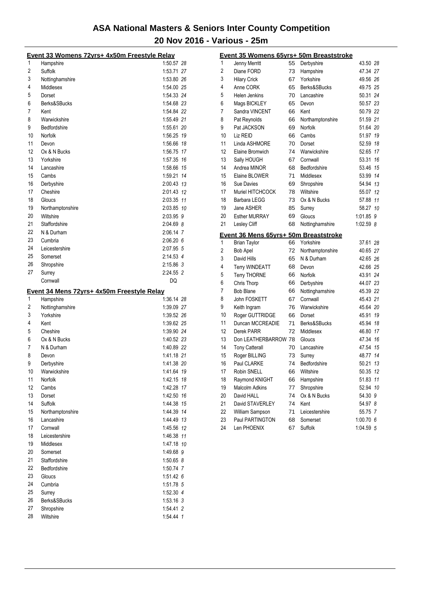|          | Event 33 Womens 72yrs+ 4x50m Freestyle Relay |                          |
|----------|----------------------------------------------|--------------------------|
| 1        | Hampshire                                    | 1:50.57 28               |
| 2        | Suffolk                                      | 1:53.71 27               |
| 3        | Nottinghamshire                              | 1:53.80 26               |
| 4        | Middlesex                                    | 1:54.00 25               |
| 5        | Dorset                                       | 1:54.33 24               |
| 6        | Berks&SBucks                                 | 1:54.68 23               |
| 7        | Kent                                         | 1:54.84 22               |
| 8        | Warwickshire                                 | 1:55.49 21               |
| 9        | Bedfordshire                                 | 1:55.61 20               |
| 10       | Norfolk                                      | 1:56.25 19               |
| 11       | Devon                                        | 1:56.66 18               |
| 12       | Ox & N Bucks                                 | 1:56.75 17               |
| 13       | Yorkshire                                    | 1:57.35 16               |
| 14       | Lancashire                                   | 1:58.66 15               |
| 15       | Cambs                                        | 1:59.21 14               |
| 16       | Derbyshire                                   | 2:00.43 13               |
| 17       | Cheshire                                     | 2:01.43 12               |
| 18       | Gloucs                                       | 2:03.35 11               |
| 19       | Northamptonshire                             | 2:03.85 10               |
| 20       | Wiltshire                                    | 2:03.95 9                |
| 21       | Staffordshire                                | 2:04.69 8                |
| 22       | N & Durham                                   | 2:06.14 7                |
| 23       | Cumbria                                      | 2:06.20 6                |
| 24       | Leicestershire                               | 2:07.95 5                |
| 25       | Somerset                                     | 2:14.53 4                |
| 26       | Shropshire                                   | 2:15.86 3                |
|          |                                              |                          |
| 27       | Surrey                                       | 2:24.55 2                |
|          | Cornwall                                     | DQ                       |
|          |                                              |                          |
|          | Event 34 Mens 72yrs+ 4x50m Freestyle Relay   |                          |
| 1        | Hampshire                                    | 1:36.14 28               |
| 2<br>3   | Nottinghamshire<br>Yorkshire                 | 1:39.09 27               |
| 4        | Kent                                         | 1:39.52 26               |
|          | Cheshire                                     | 1:39.62 25<br>1:39.90 24 |
| 5<br>6   | Ox & N Bucks                                 |                          |
| 7        | N & Durham                                   | 1:40.52 23               |
| 8        | Devon                                        | 1:40.89 22<br>1:41.18 21 |
| 9        |                                              |                          |
|          | Derbyshire<br>Warwickshire                   | 1:41.38 20               |
| 10<br>11 | Norfolk                                      | 1:41.64 19<br>1:42.15 18 |
| 12       | Cambs                                        | 1:42.28 17               |
| 13       | Dorset                                       | 1:42.50 16               |
| 14       | Suffolk                                      | 1:44.38 15               |
| 15       |                                              | 1:44.39 14               |
|          | Northamptonshire<br>Lancashire               | 1:44.49 13               |
| 16<br>17 | Cornwall                                     | 1:45.56 12               |
| 18       | Leicestershire                               | 1:46.38 11               |
| 19       | Middlesex                                    |                          |
|          | Somerset                                     | 1:47.18 10<br>1:49.68 9  |
| 20<br>21 | Staffordshire                                | 1:50.65 8                |
|          | Bedfordshire                                 | 1:50.74 7                |
| 22       | Gloucs                                       | 1:51.42 6                |
| 23       | Cumbria                                      | 1:51.78 5                |
| 24       |                                              |                          |
| 25       | Surrey                                       | 1:52.30 4                |
| 26<br>27 | Berks&SBucks<br>Shropshire                   | $1:53.16$ 3<br>1:54.41 2 |

|                | <u> Event 35 Womens 65yrs+ 50m Breaststroke</u> |          |                     |                        |    |
|----------------|-------------------------------------------------|----------|---------------------|------------------------|----|
| 1              | Jenny Merritt                                   | 55       | Derbyshire          | 43.50 28               |    |
| 2              | Diane FORD                                      | 73       | Hampshire           | 47.34 27               |    |
| 3              | <b>Hilary Crick</b>                             | 67       | Yorkshire           | 49.56 26               |    |
| 4              | Anne CORK                                       | 65       | Berks&SBucks        | 49.75 25               |    |
| 5              | Helen Jenkins                                   | 70       | Lancashire          | 50.31 24               |    |
| 6              | Mags BICKLEY                                    | 65       | Devon               | 50.57 23               |    |
| 7              | Sandra VINCENT                                  | 66       | Kent                | 50.79 22               |    |
| 8              | Pat Reynolds                                    | 66       | Northamptonshire    | 51.59 21               |    |
| 9              | Pat JACKSON                                     | 69       | Norfolk             | 51.64 20               |    |
| 10             | Liz REID                                        | 66       | Cambs               | 51.97 19               |    |
| 11             | Linda ASHMORE                                   | 70       | Dorset              | 52.59 18               |    |
| 12             | Elaine Bromwich                                 | 74       | Warwickshire        | 52.65 17               |    |
| 13             | Sally HOUGH                                     | 67       | Cornwall            | 53.31                  | 16 |
| 14             | Andrea MINOR                                    | 68       | Bedfordshire        | 53.46                  | 15 |
| 15             | Elaine BLOWER                                   | 71       | Middlesex           | 53.99                  | 14 |
| 16             | Sue Davies                                      | 69       | Shropshire          | 54.94 13               |    |
| 17             | Muriel HITCHCOCK                                | 78       | Wiltshire           | 55.07 12               |    |
| 18             | Barbara LEGG                                    | 73       | Ox & N Bucks        | 57.88                  | 11 |
| 19             | Jane ASHER                                      | 85       | Surrey              | 58.27 10               |    |
| 20             | <b>Esther MURRAY</b>                            | 69       | Gloucs              | 1:01.85 9              |    |
| 21             | Lesley Cliff                                    | 68       | Nottinghamshire     | 1:02.59 8              |    |
|                | Event 36 Mens 65yrs+ 50m Breaststroke           |          |                     |                        |    |
| 1              | <b>Brian Taylor</b>                             | 66       | Yorkshire           | 37.61 28               |    |
| $\overline{2}$ | <b>Bob Apel</b>                                 | 72       | Northamptonshire    | 40.65 27               |    |
| 3              | David Hills                                     | 65       | N & Durham          | 42.65 26               |    |
| 4              | Terry WINDEATT                                  | 68       | Devon               | 42.66 25               |    |
| 5              | <b>Terry THORNE</b>                             | 66       | Norfolk             | 43.91 24               |    |
| 6              | Chris Thorp                                     | 66       | Derbyshire          | 44.07 23               |    |
| 7              | <b>Bob Blane</b>                                | 66       | Nottinghamshire     | 45.39 22               |    |
| 8              | John FOSKETT                                    | 67       | Cornwall            | 45.43 21               |    |
| 9              | Keith Ingram                                    | 76       | Warwickshire        | 45.64 20               |    |
| 10             | Roger GUTTRIDGE                                 | 66       | Dorset              | 45.91                  | 19 |
| 11             | Duncan MCCREADIE                                | 71       | Berks&SBucks        | 45.94 18               |    |
| 12             | Derek PARR                                      | 72       | Middlesex           | 46.80 17               |    |
| 13             | Don LEATHERBARROW 78                            |          | Gloucs              | 47.34                  | 16 |
| 14             | <b>Tony Catterall</b>                           | 70       | Lancashire          | 47.54                  | 15 |
| 15             | Roger BILLING                                   | 73       | Surrey              | 48.77 14               |    |
| 16             | Paul CLARKE                                     | 74       | Bedfordshire        | 50.21                  | 13 |
| 17             | <b>Robin SNELL</b>                              | 66       | Wiltshire           | 50.35                  | 12 |
| 18             | Raymond KNIGHT                                  | 66       | Hampshire           | 51.83 11               |    |
| 19             | <b>Malcolm Adkins</b>                           | 77       | Shropshire          | 52.94                  | 10 |
| 20             | David HALL                                      | 74       | Ox & N Bucks        | 54.30 9                |    |
| 21             | David STAVERLEY                                 | 74       | Kent                | 54.97 8                |    |
|                |                                                 |          |                     |                        |    |
| 22             | William Sampson                                 | 71       | Leicestershire      | 55.75 7                |    |
| 23<br>24       | Paul PARTINGTON<br>Len PHOENIX                  | 68<br>67 | Somerset<br>Suffolk | 1:00.70 6<br>1:04.59 5 |    |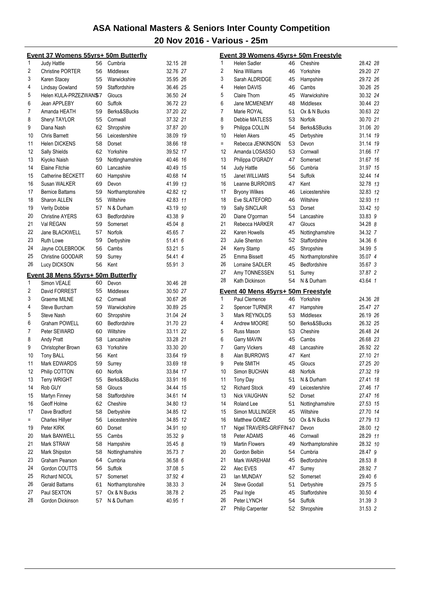|     | <u>Event 37 Womens 55yrs+ 50m Butterfly</u> |    |                  |          |    |
|-----|---------------------------------------------|----|------------------|----------|----|
| 1   | Judy Hattle                                 | 56 | Cumbria          | 32.15 28 |    |
| 2   | <b>Christine PORTER</b>                     | 56 | Middlesex        | 32.76 27 |    |
| 3   | Karen Stacey                                | 55 | Warwickshire     | 35.95 26 |    |
| 4   | Lindsay Gowland                             | 59 | Staffordshire    | 36.46 25 |    |
| 5   | Helen KULA-PRZEZWAN\$7                      |    | Gloucs           | 36.50 24 |    |
| 6   | Jean APPLEBY                                | 60 | Suffolk          | 36.72 23 |    |
| 7   | Amanda HEATH                                | 59 | Berks&SBucks     | 37.20 22 |    |
| 8   | Sheryl TAYLOR                               | 55 | Cornwall         | 37.32 21 |    |
| 9   | Diana Nash                                  | 62 | Shropshire       | 37.87 20 |    |
| 10  | <b>Chris Barnett</b>                        | 56 | Leicestershire   | 38.09 19 |    |
| 11  | <b>Helen DICKENS</b>                        | 58 | Dorset           | 38.66 18 |    |
| 12  | Sally Shields                               | 62 | Yorkshire        | 39.52 17 |    |
| 13  | Kiyoko Naish                                | 59 | Nottinghamshire  | 40.46 16 |    |
| 14  | <b>Elaine Fitchie</b>                       | 60 | Lancashire       | 40.49 15 |    |
| 15  | Catherine BECKETT                           | 60 | Hampshire        | 40.68 14 |    |
| 16  | Susan WALKER                                | 69 | Devon            | 41.99 13 |    |
| 17  | <b>Bernice Battams</b>                      | 59 | Northamptonshire | 42.82 12 |    |
| 18  | Sharon ALLEN                                | 55 | Wiltshire        | 42.83 11 |    |
| 19  | <b>Verity Dobbie</b>                        | 57 | N & Durham       | 43.19 10 |    |
| 20  | <b>Christine AYERS</b>                      | 63 | Bedfordshire     | 43.38 9  |    |
| 21  | Val REGAN                                   | 59 | Somerset         | 45.04 8  |    |
| 22  | Jane BLACKWELL                              | 57 | Norfolk          | 45.65 7  |    |
| 23  | <b>Ruth Lowe</b>                            | 59 | Derbyshire       | 51.41 6  |    |
| 24  | Jayne COLEBROOK                             | 56 | Cambs            | 53.21 5  |    |
| 25  | Christine GOODAIR                           | 59 | Surrey           | 54.41 4  |    |
| 26  | Lucy DICKSON                                | 56 | Kent             | 55.91 3  |    |
|     | Event 38 Mens 55yrs+ 50m Butterfly          |    |                  |          |    |
| 1   | Simon VEALE                                 | 60 | Devon            | 30.46 28 |    |
| 2   | David FORREST                               | 55 | Middlesex        | 30.50 27 |    |
| 3   | Graeme MILNE                                | 62 | Cornwall         | 30.67 26 |    |
| 4   | Steve Burcham                               | 59 | Warwickshire     | 30.89 25 |    |
| 5   | Steve Nash                                  | 60 | Shropshire       | 31.04 24 |    |
| 6   | Graham POWELL                               | 60 | Bedfordshire     | 31.70 23 |    |
| 7   | Peter SEWARD                                | 60 | Wiltshire        | 33.11 22 |    |
| 8   | <b>Andy Pratt</b>                           | 58 | Lancashire       | 33.28 21 |    |
| 9   | Christopher Brown                           | 63 | Yorkshire        | 33.30 20 |    |
| 10  | Tony BALL                                   | 56 | Kent             | 33.64 19 |    |
| 11  | Mark EDWARDS                                | 59 | Surrey           | 33.69 18 |    |
| 12  | Philip COTTON                               | 60 | Norfolk          | 33.84    | 17 |
| 13  | Terry WRIGHT                                | 55 | Berks&SBucks     | 33.91 16 |    |
| 14  | Rob GUY                                     | 58 | Gloucs           | 34.44 15 |    |
| 15  | Martyn Finney                               | 58 | Staffordshire    | 34.61 14 |    |
| 16  | Geoff Holme                                 | 62 | Cheshire         | 34.80 13 |    |
| 17  | Dave Bradford                               | 58 | Derbyshire       | 34.85 12 |    |
| $=$ | <b>Charles Hillyer</b>                      | 56 | Leicestershire   | 34.85 12 |    |
| 19  | Peter KIRK                                  | 60 | Dorset           | 34.91 10 |    |
| 20  | Mark BANWELL                                | 55 | Cambs            | 35.32 9  |    |
| 21  | Mark STRAW                                  | 58 | Hampshire        | 35.45 8  |    |
| 22  | Mark Shipston                               | 58 | Nottinghamshire  | 35.73 7  |    |
| 23  | Graham Pearson                              | 64 | Cumbria          | 36.58 6  |    |
| 24  | Gordon COUTTS                               | 56 | Suffolk          | 37.08 5  |    |
| 25  | Richard NICOL                               | 57 | Somerset         | 37.92 4  |    |
| 26  | <b>Gerald Battams</b>                       | 61 | Northamptonshire | 38.33 3  |    |
| 27  | Paul SEXTON                                 | 57 | Ox & N Bucks     | 38.78 2  |    |
| 28  | Gordon Dickinson                            | 57 | N & Durham       | 40.95 1  |    |
|     |                                             |    |                  |          |    |

|          | <u> Event 39 Womens 45yrs+ 50m Freestyle</u> |          |                              |                    |    |
|----------|----------------------------------------------|----------|------------------------------|--------------------|----|
| 1        | Helen Sadler                                 | 46       | Cheshire                     | 28.42 28           |    |
| 2        | Nina Williams                                | 46       | Yorkshire                    | 29.20 27           |    |
| 3        | Sarah ALDRIDGE                               | 45       | Hampshire                    | 29.72 26           |    |
| 4        | <b>Helen DAVIS</b>                           | 46       | Cambs                        | 30.26 25           |    |
| 5        | Claire Thorn                                 | 45       | Warwickshire                 | 30.32 24           |    |
| 6        | Jane MCMENEMY                                | 48       | Middlesex                    | 30.44 23           |    |
| 7        | Marie ROYAL                                  | 51       | Ox & N Bucks                 | 30.63 22           |    |
| 8        | Debbie MATLESS                               | 53       | Norfolk                      | 30.70 21           |    |
| 9        | Philippa COLLIN                              | 54       | Berks&SBucks                 | 31.06 20           |    |
| 10       | <b>Helen Akers</b>                           | 45       | Derbyshire                   | 31.14 19           |    |
| $=$      | Rebecca JENKINSON                            | 53       | Devon                        | 31.14 19           |    |
| 12       | Amanda LOSASSO                               | 53       | Cornwall                     | 31.66 17           |    |
| 13       | Philippa O'GRADY                             | 47       | Somerset                     | 31.67 16           |    |
| 14       | <b>Judy Hattle</b>                           | 56       | Cumbria                      | 31.97 15           |    |
| 15       | Janet WILLIAMS                               | 54       | Suffolk                      | 32.44 14           |    |
| 16       | Leanne BURROWS                               | 47       | Kent                         | 32.78 13           |    |
| 17       | <b>Bryony Wilkes</b>                         | 46       | Leicestershire               | 32.83 12           |    |
| 18       | Eve SLATEFORD                                | 46       | Wiltshire                    | 32.93 11           |    |
| 19       | Sally SINCLAIR                               | 53       | Dorset                       | 33.42 10           |    |
| 20       | Diane O'gorman                               | 54       | Lancashire                   | 33.83 9            |    |
| 21       | Rebecca HARKER                               | 47       | Gloucs                       | 34.28 8            |    |
| 22       | Karen Howells                                | 45       | Nottinghamshire              | 34.32 7            |    |
| 23       | Julie Shenton                                | 52       | Staffordshire                | 34.36 6            |    |
| 24       | Kerry Stamp                                  | 45       | Shropshire                   | 34.99 5            |    |
| 25       | Emma Bissett                                 | 45       | Northamptonshire             | 35.07 4            |    |
| 26       | Lorraine SADLER                              | 45       | Bedfordshire                 | 35.67 3            |    |
| 27       | Amy TONNESSEN                                | 51       | Surrey                       | 37.87 2            |    |
| 28       | Kath Dickinson                               | 54       | N & Durham                   | 43.64 1            |    |
|          | Event 40 Mens 45yrs+ 50m Freestyle           |          |                              |                    |    |
| 1        | Paul Clemence                                | 46       | Yorkshire                    | 24.36 28           |    |
| 2        | <b>Spencer TURNER</b>                        | 47       | Hampshire                    | 25.47 27           |    |
| 3        | Mark REYNOLDS                                | 53       | Middlesex                    | 26.19 26           |    |
| 4        | Andrew MOORE                                 | 50       | Berks&SBucks                 | 26.32 25           |    |
| 5        | Russ Mason                                   | 53       | Cheshire                     | 26.48 24           |    |
| 6        | Garry MAVIN                                  | 45       |                              |                    |    |
| 7        |                                              |          |                              |                    |    |
|          |                                              |          | Cambs                        | 26.68 23           |    |
|          | <b>Garry Vickers</b>                         | 48       | Lancashire                   | 26.92 22           |    |
| 8        | Alan BURROWS                                 | 47       | Kent                         | 27.10 21           |    |
| 9        | Pete SMITH                                   | 45       | Gloucs                       | 27.25 20           |    |
| 10       | Simon BUCHAN                                 | 48       | Norfolk                      | 27.32 19           |    |
| 11       | <b>Tony Day</b>                              | 51       | N & Durham                   | 27.41 18           |    |
| 12       | <b>Richard Stock</b>                         | 49       | Leicestershire               | 27.46              | 17 |
| 13       | Nick VAUGHAN                                 | 52       | Dorset                       | 27.47              | 16 |
| 14       | <b>Roland Lee</b>                            | 51       | Nottinghamshire              | 27.53              | 15 |
| 15       | Simon MULLINGER                              | 45       | Wiltshire                    | 27.70              | 14 |
| 16       | Matthew GOMEZ                                | 50       | Ox & N Bucks                 | 27.79 13           |    |
| 17       | Nigel TRAVERS-GRIFFIN47                      |          | Devon                        | 28.00 12           |    |
| 18       | Peter ADAMS                                  | 46       | Cornwall                     | 28.29 11           |    |
| 19       | <b>Martin Flowers</b>                        | 49       | Northamptonshire             | 28.32 10           |    |
| 20       | Gordon Belbin                                | 54       | Cumbria                      | 28.47 9            |    |
| 21       | Mark WAREHAM                                 | 45       | Bedfordshire                 | 28.53 8            |    |
| 22       | Alec EVES                                    | 47       | Surrey                       | 28.92 7            |    |
| 23       | lan MUNDAY                                   | 52       | Somerset                     | 29.40 6            |    |
| 24       | <b>Steve Goodall</b>                         | 51       | Derbyshire                   | 29.75 5            |    |
| 25       | Paul Ingle                                   | 45       | Staffordshire                | 30.50 4            |    |
| 26<br>27 | Peter LYNCH<br>Philip Carpenter              | 54<br>52 | <b>Suffolk</b><br>Shropshire | 31.39 3<br>31.53 2 |    |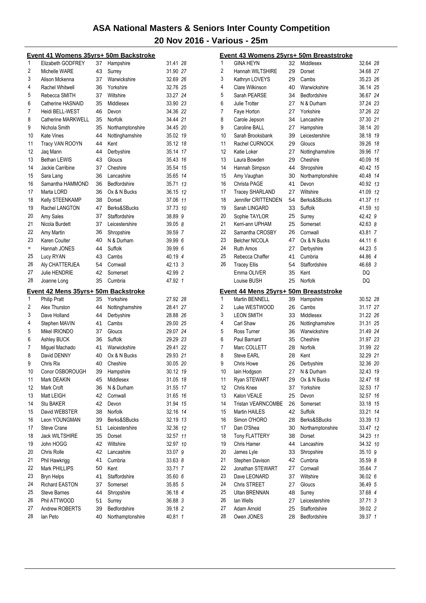|          | Event 41 Womens 35yrs+ 50m Backstroke |          |                                  |                    |    |
|----------|---------------------------------------|----------|----------------------------------|--------------------|----|
| 1        | Elizabeth GODFREY                     | 37       | Hampshire                        | 31.41 28           |    |
| 2        | Michelle WARE                         | 43       | Surrey                           | 31.90 27           |    |
| 3        | Alison Mckenna                        | 37       | Warwickshire                     | 32.69 26           |    |
| 4        | Rachel Whitwell                       | 36       | Yorkshire                        | 32.76 25           |    |
| 5        | Rebecca SMITH                         | 37       | Wiltshire                        | 33.27 24           |    |
| 6        | Catherine HASNAID                     | 35       | Middlesex                        | 33.90 23           |    |
| 7        | Heidi BELL-WEST                       | 46       | Devon                            | 34.36 22           |    |
| 8        | Catherine MARKWELL                    | 35       | Norfolk                          | 34.44 21           |    |
| 9        | Nichola Smith                         | 35       | Northamptonshire                 | 34.45 20           |    |
| 10       | Kate Vines                            | 44       | Nottinghamshire                  | 35.02 19           |    |
| 11       | Tracy VAN ROOYN                       | 44       | Kent                             | 35.12 18           |    |
| 12       | Jaq Mann                              | 44       | Derbyshire                       | 35.14 17           |    |
| 13       | Bethan LEWIS                          | 43       | Gloucs                           | 35.43 16           |    |
| 14       | Jackie Carribine                      | 37       | Cheshire                         | 35.54 15           |    |
| 15       | Sara Lang                             | 36       | Lancashire                       | 35.65 14           |    |
| 16       | Samantha HAMMOND                      | 36       | Bedfordshire                     | 35.71 13           |    |
| 17       | Marta LORD                            | 36       | Ox & N Bucks                     | 36.15 12           |    |
| 18       | Kelly STEENKAMP                       | 38       | Dorset                           | 37.06 11           |    |
| 19       | Rachel LANGTON                        | 47       | Berks&SBucks                     | 37.73 10           |    |
| 20       | Amy Sales                             | 37       | Staffordshire                    | 38.89 9            |    |
| 21       | Nicola Burdett                        | 37       | Leicestershire                   | 39.05 8            |    |
| 22       | Amy Martin                            | 36       | Shropshire                       | 39.59 7            |    |
| 23       | Karen Coulter                         | 40       | N & Durham                       | 39.99 6            |    |
| $=$      | Hannah JONES                          | 44       | Suffolk                          | 39.99 6            |    |
| 25       | Lucy RYAN                             | 43       | Cambs                            | 40.19 4            |    |
| 26       | Aly CHATTERJEA                        | 54       | Cornwall                         | 42.13 3            |    |
| 27       | <b>Julie HENDRIE</b>                  | 42       | Somerset                         | 42.99 2            |    |
| 28       | Joanne Long                           | 35       | Cumbria                          | 47.92 1            |    |
|          |                                       |          |                                  |                    |    |
|          |                                       |          |                                  |                    |    |
|          | Event 42 Mens 35yrs+ 50m Backstroke   |          |                                  |                    |    |
| 1        | <b>Philip Pratt</b>                   | 35       | Yorkshire                        | 27.92 28           |    |
| 2        | Alex Thurston                         | 44       | Nottinghamshire                  | 28.41 27           |    |
| 3        | Dave Holland                          | 44       | Derbyshire                       | 28.88 26           |    |
| 4        | Stephen MAVIN                         | 41       | Cambs                            | 29.00 25           |    |
| 5        | Mikel IRIONDO                         | 37       | Gloucs                           | 29.07 24           |    |
| 6        | Ashley BUCK                           | 36       | Suffolk                          | 29.29 23           |    |
| 7        | Miguel Machado                        | 41       | Warwickshire                     | 29.41 22           |    |
| 8        | David DENNY                           | 40       | Ox & N Bucks                     | 29.93 21           |    |
| 9        | Chris Rix                             | 40       | Cheshire                         | 30.05 20           |    |
| 10       | Conor OSBOROUGH                       | 39       | Hampshire                        | 30.12 19           |    |
| 11       | Mark DEAKIN                           | 45       | Middlesex                        | 31.05 18           |    |
| 12       | Mark Croft                            | 36       | N & Durham                       | 31.55 17           |    |
| 13       | Matt LEIGH                            | 42       | Cornwall                         | 31.65 16           |    |
| 14       | <b>Stu BAKER</b>                      | 42       | Devon                            | 31.94 15           |    |
| 15       | David WEBSTER                         | 38       | Norfolk                          | 32.16 14           |    |
| 16       | Leon YOUNGMAN                         | 39       | Berks&SBucks                     | 32.19 13           |    |
| 17       | <b>Steve Crane</b>                    | 51       | Leicestershire                   | 32.36 12           |    |
| 18       | <b>Jack WILTSHIRE</b>                 | 35       | Dorset                           | 32.57              | 11 |
| 19       | John HOGG                             | 42       | Wiltshire                        | 32.97 10           |    |
| 20       | Chris Rolle                           | 42       | Lancashire                       | 33.07 9            |    |
| 21       | Phil Hawkrigg                         | 41       | Cumbria                          | 33.63 8            |    |
| 22       | Mark PHILLIPS                         | 50       | Kent                             | 33.71 7            |    |
| 23       | <b>Bryn Helps</b>                     | 41       | Staffordshire                    | 35.60 6            |    |
| 24       | <b>Richard EASTON</b>                 | 37       | Somerset                         | 35.85 5            |    |
| 25       | <b>Steve Barnes</b>                   | 44       | Shropshire                       | 36.18 4            |    |
| 26       | Phil ATTWOOD                          | 51       | Surrey                           | 36.88 3            |    |
| 27<br>28 | Andrew ROBERTS<br>lan Peto            | 39<br>40 | Bedfordshire<br>Northamptonshire | 39.18 2<br>40.81 1 |    |

|    |                                       |    | Event 43 Womens 25yrs+ 50m Breaststroke |          |    |
|----|---------------------------------------|----|-----------------------------------------|----------|----|
| 1  | <b>GINA HEYN</b>                      | 32 | Middlesex                               | 32.64 28 |    |
| 2  | Hannah WILTSHIRE                      | 29 | Dorset                                  | 34.68 27 |    |
| 3  | Kathryn LOVEYS                        | 29 | Cambs                                   | 35.23 26 |    |
| 4  | Clare Wilkinson                       | 40 | Warwickshire                            | 36.14 25 |    |
| 5  | Sarah PEARSE                          | 34 | Bedfordshire                            | 36.67 24 |    |
| 6  | Julie Trotter                         | 27 | N & Durham                              | 37.24 23 |    |
| 7  | Faye Horton                           | 27 | Yorkshire                               | 37.26 22 |    |
| 8  | Carole Jepson                         | 34 | Lancashire                              | 37.30 21 |    |
| 9  | Caroline BALL                         | 27 | Hampshire                               | 38.14 20 |    |
| 10 | Sarah Brooksbank                      | 39 | Leicestershire                          | 38.18 19 |    |
| 11 | Rachel CURNOCK                        | 29 | Gloucs                                  | 39.26 18 |    |
| 12 | Katie Loker                           | 27 | Nottinghamshire                         | 39.96 17 |    |
| 13 | Laura Bowden                          | 29 | Cheshire                                | 40.09 16 |    |
| 14 | Hannah Simpson                        | 44 | Shropshire                              | 40.42 15 |    |
| 15 | Amy Vaughan                           | 30 | Northamptonshire                        | 40.48 14 |    |
| 16 | Christa PAGE                          | 41 | Devon                                   | 40.92 13 |    |
| 17 | <b>Tracey SHARLAND</b>                | 27 | Wiltshire                               | 41.09 12 |    |
| 18 | Jennifer CRITTENDEN                   | 54 | Berks&SBucks                            | 41.37    | 11 |
| 19 | Sarah LINGARD                         | 33 | Suffolk                                 | 41.59 10 |    |
| 20 | Sophie TAYLOR                         | 25 | Surrey                                  | 42.42 9  |    |
| 21 | Kerri-ann UPHAM                       | 25 | Somerset                                | 42.63 8  |    |
| 22 | Samantha CROSBY                       | 26 | Cornwall                                | 43.81 7  |    |
| 23 | <b>Belcher NICOLA</b>                 | 47 | Ox & N Bucks                            | 44.11 6  |    |
| 24 | <b>Ruth Amos</b>                      | 27 | Derbyshire                              | 44.23 5  |    |
| 25 | Rebecca Chaffer                       | 41 | Cumbria                                 | 44.86 4  |    |
| 26 | <b>Tracey Ellis</b>                   | 54 | Staffordshire                           | 46.68 3  |    |
|    | Emma OLIVER                           | 35 | Kent                                    | DQ       |    |
|    | Louise BUSH                           | 25 | Norfolk                                 | DQ       |    |
|    |                                       |    |                                         |          |    |
|    |                                       |    |                                         |          |    |
|    | Event 44 Mens 25yrs+ 50m Breaststroke |    |                                         |          |    |
| 1  | <b>Martin BENNELL</b>                 | 39 | Hampshire                               | 30.52 28 |    |
| 2  | Luke WESTWOOD                         | 26 | Cambs                                   | 31.17 27 |    |
| 3  | <b>LEON SMITH</b>                     | 33 | Middlesex                               | 31.22 26 |    |
| 4  | Carl Shaw                             | 26 | Nottinghamshire                         | 31.31 25 |    |
| 5  | Ross Turner                           | 36 | Warwickshire                            | 31.49 24 |    |
| 6  | Paul Barnard                          | 35 | Cheshire                                | 31.97 23 |    |
| 7  | Marc COLLETT                          | 28 | Norfolk                                 | 31.99 22 |    |
| 8  | <b>Steve EARL</b>                     | 28 | Kent                                    | 32.29 21 |    |
| 9  | <b>Chris Howe</b>                     | 26 | Derbyshire                              | 32.36 20 |    |
| 10 | lain Hodgson                          | 27 | N & Durham                              | 32.43 19 |    |
| 11 | Ryan STEWART                          | 29 | Ox & N Bucks                            | 32.47 18 |    |
| 12 | Chris Knee                            | 37 | Yorkshire                               | 32.53    | 17 |
| 13 | Kalon VEALE                           | 25 | Devon                                   | 32.57 16 |    |
| 14 | <b>Tristan VEARNCOMBE</b>             | 26 | Somerset                                | 33.18 15 |    |
| 15 | Martin HAILES                         | 42 | Suffolk                                 | 33.21    | 14 |
| 16 | Simon O'HORO                          | 28 | Berks&SBucks                            | 33.39 13 |    |
| 17 | Dan O'Shea                            | 30 | Northamptonshire                        | 33.47 12 |    |
| 18 | Tony FLATTERY                         | 38 | Dorset                                  | 34.23    | 11 |
| 19 | Chris Hamer                           | 44 | Lancashire                              | 34.32 10 |    |
| 20 | James Lyle                            | 33 | Shropshire                              | 35.10 9  |    |
| 21 | Stephen Davison                       | 42 | Cumbria                                 | 35.59 8  |    |
| 22 | Jonathan STEWART                      | 27 | Cornwall                                | 35.64 7  |    |
| 23 | Dave LEONARD                          | 37 | Wiltshire                               | 36.02 6  |    |
| 24 | Chris STREET                          | 27 | Gloucs                                  | 36.49 5  |    |
| 25 | Ultan BRENNAN                         | 48 | Surrey                                  | 37.68 4  |    |
| 26 | lan Wells                             | 27 | Leicestershire                          | 37.71 3  |    |
| 27 | Adam Arnold                           | 25 | Staffordshire                           | 39.02 2  |    |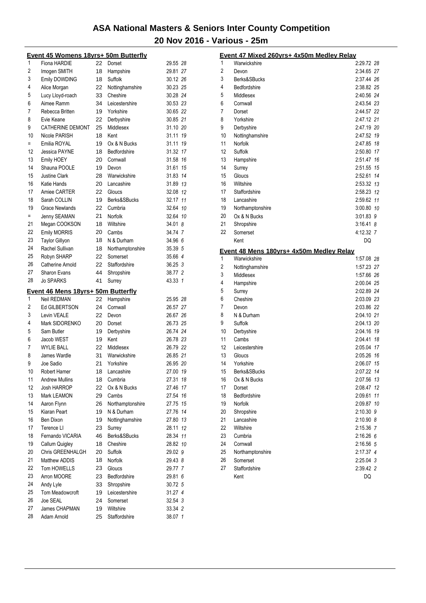|                | <u> Event 45 Womens 18yrs+ 50m Butterfly</u> |          |                                |                         |  |
|----------------|----------------------------------------------|----------|--------------------------------|-------------------------|--|
| 1              | Fiona HARDIE                                 | 22       | Dorset                         | 29.55 28                |  |
| $\overline{2}$ | Imogen SMITH                                 | 18       | Hampshire                      | 29.81 27                |  |
| 3              | Emily DOWDING                                | 18       | Suffolk                        | 30.12 26                |  |
| 4              | Alice Morgan                                 | 22       | Nottinghamshire                | 30.23 25                |  |
| 5              | Lucy Lloyd-roach                             | 33       | Cheshire                       | 30.28 24                |  |
| 6              | Aimee Ramm                                   | 34       | Leicestershire                 | 30.53 23                |  |
| 7              | Rebecca Britten                              | 19       | Yorkshire                      | 30.65 22                |  |
| 8              | Evie Keane                                   | 22       | Derbyshire                     | 30.85 21                |  |
| 9              | <b>CATHERINE DEMONT</b>                      | 25       | Middlesex                      | 31.10 20                |  |
| 10             | Nicole PARISH                                | 18       | Kent                           | 31.11<br>19             |  |
| $=$            | Emilia ROYAL                                 | 19       | Ox & N Bucks                   | 19<br>31.11             |  |
| 12             | Jessica PAYNE                                | 18       | Bedfordshire                   | 31.32 17                |  |
| 13             | Emily HOEY                                   | 20       | Cornwall                       | 31.58 16                |  |
| 14             | Shauna POOLE                                 | 19       | Devon                          | 31.61<br>15             |  |
| 15             | <b>Justine Clark</b>                         | 28       | Warwickshire                   | 14<br>31.83             |  |
| 16             | Katie Hands                                  | 20       | Lancashire                     | 31.89 13                |  |
| 17             | Amiee CARTER                                 | 22       |                                |                         |  |
| 18             | Sarah COLLIN                                 |          | Gloucs                         | 32.08 12<br>11<br>32.17 |  |
| 19             |                                              | 19       | Berks&SBucks<br>Cumbria        |                         |  |
|                | <b>Grace Newlands</b>                        | 22       |                                | 32.64<br>10             |  |
| $=$            | Jenny SEAMAN                                 | 21       | Norfolk                        | 32.64 10                |  |
| 21             | Megan COOKSON                                | 18       | Wiltshire                      | 34.01 8                 |  |
| 22             | <b>Emily MORRIS</b>                          | 20       | Cambs                          | 34.74 7                 |  |
| 23             | <b>Taylor Gillyon</b>                        | 18       | N & Durham                     | 34.96 6                 |  |
| 24             | Rachel Sullivan                              | 18       | Northamptonshire               | 35.39 5                 |  |
| 25             | Robyn SHARP                                  | 22       | Somerset                       | 35.66 4                 |  |
| 26             | Catherine Arnold                             | 22       | Staffordshire                  | 36.25 3                 |  |
| 27             | <b>Sharon Evans</b>                          | 44       | Shropshire                     | 38.77 2                 |  |
| 28             | <b>Jo SPARKS</b>                             | 41       | Surrey                         | 43.33<br>$\overline{1}$ |  |
|                |                                              |          |                                |                         |  |
|                | Event 46 Mens 18yrs+ 50m Butterfly           |          |                                |                         |  |
| 1              | <b>Neil REDMAN</b>                           | 22       | Hampshire                      | 25.95 28                |  |
| $\overline{2}$ | <b>Ed GILBERTSON</b>                         | 24       | Cornwall                       | 26.57 27                |  |
| 3              | Levin VEALE                                  | 22       | Devon                          | 26.67 26                |  |
| 4              | Mark SIDORENKO                               | 20       | Dorset                         | 26.73 25                |  |
| 5              | Sam Butler                                   | 19       | Derbyshire                     | 26.74 24                |  |
| 6              | Jacob WEST                                   | 19       | Kent                           | 26.78 23                |  |
| 7              | <b>WYLIE BALL</b>                            | 22       | Middlesex                      | 26.79 22                |  |
| 8              | James Wardle                                 | 31       | Warwickshire                   | 26.85 21                |  |
| 9              | Joe Sadio                                    | 21       | Yorkshire                      | 26.95 20                |  |
| 10             | Robert Hamer                                 | 18       | Lancashire                     | 27.00<br>19             |  |
| 11             | <b>Andrew Mullins</b>                        | 18       | Cumbria                        | 27.31 18                |  |
| 12             | <b>Josh HARROP</b>                           | 22       | Ox & N Bucks                   | 27.46 17                |  |
| 13             | Mark LEAMON                                  | 29       | Cambs                          | 27.54 16                |  |
| 14             | Aaron Flynn                                  | 26       |                                | 27.75 15                |  |
| 15             | Kiaran Peart                                 | 19       | Northamptonshire<br>N & Durham | 27.76 14                |  |
| 16             | Ben Dixon                                    | 19       | Nottinghamshire                | 27.80 13                |  |
| 17             | Terence LI                                   | 23       | Surrey                         | 28.11<br>12             |  |
| 18             |                                              | 46       | Berks&SBucks                   | 28.34 11                |  |
| 19             | Fernando VICARIA<br>Callum Quigley           | 18       | Cheshire                       | 28.82 10                |  |
| 20             |                                              | 20       | Suffolk                        | 29.02 9                 |  |
| 21             | Chris GREENHALGH                             |          |                                |                         |  |
| 22             | Matthew ADDIS<br>Tom HOWELLS                 | 18<br>23 | Norfolk<br>Gloucs              | 29.43 8                 |  |
| 23             | Arron MOORE                                  | 23       | Bedfordshire                   | 29.77 7<br>29.81 6      |  |
| 24             | Andy Lyle                                    | 33       | Shropshire                     | 30.72 5                 |  |
| 25             |                                              | 19       | Leicestershire                 | 31.27 4                 |  |
| 26             | Tom Meadowcroft<br>Joe SEAL                  | 24       | Somerset                       | 32.54 3                 |  |
| 27             | James CHAPMAN                                | 19       | Wiltshire                      |                         |  |
| 28             | Adam Arnold                                  | 25       | Staffordshire                  | 33.34 2<br>38.07 1      |  |

|    | Event 47 Mixed 260yrs+ 4x50m Medley Relay |             |    |
|----|-------------------------------------------|-------------|----|
| 1  | Warwickshire                              | 2:29.72 28  |    |
| 2  | Devon                                     | 2:34.65 27  |    |
| 3  | Berks&SBucks                              | 2:37.44 26  |    |
| 4  | Bedfordshire                              | 2:38.82 25  |    |
| 5  | Middlesex                                 | 2:40.56 24  |    |
| 6  | Cornwall                                  | 2:43.54 23  |    |
| 7  | Dorset                                    | 2:44.57 22  |    |
| 8  | Yorkshire                                 | 2:47.12 21  |    |
| 9  | Derbyshire                                | 2:47.19 20  |    |
| 10 | Nottinghamshire                           | 2:47.52     | 19 |
| 11 | Norfolk                                   | 2:47.85     | 18 |
| 12 | Suffolk                                   | 2:50.80 17  |    |
| 13 | Hampshire                                 | 2:51.47     | 16 |
| 14 | Surrey                                    | 2:51.55     | 15 |
| 15 | Gloucs                                    | 2:52.61     | 14 |
| 16 | Wiltshire                                 | 2:53.32 13  |    |
| 17 | Staffordshire                             | 2:58.23 12  |    |
| 18 | Lancashire                                | 2:59.62     | 11 |
| 19 | Northamptonshire                          | 3:00.80 10  |    |
| 20 | Ox & N Bucks                              | 3:01.83 9   |    |
| 21 | Shropshire                                | $3:16.41$ 8 |    |
| 22 | Somerset                                  | 4:12.32 7   |    |
|    | Kent                                      | DQ          |    |
|    | Event 48 Mens 180yrs+ 4x50m Medley Relay  |             |    |
| 1  | Warwickshire                              | 1:57.08 28  |    |
| 2  | Nottinghamshire                           | 1:57.23 27  |    |
| 3  | Middlesex                                 | 1:57.66 26  |    |
| 4  | Hampshire                                 | 2:00.04 25  |    |
| 5  | Surrey                                    | 2:02.89 24  |    |
| 6  | Cheshire                                  | 2:03.09 23  |    |
| 7  | Devon                                     | 2:03.86 22  |    |
| 8  | N & Durham                                | 2:04.10 21  |    |
| 9  | Suffolk                                   | 2:04.13 20  |    |
| 10 | Derbyshire                                | 2:04.16 19  |    |
| 11 | Cambs                                     | 2:04.41     | 18 |
| 12 | Leicestershire                            | 2:05.04     | 17 |
| 13 | Gloucs                                    | 2:05.26     | 16 |
| 14 | Yorkshire                                 | 2:06.07 15  |    |
| 15 | Berks&SBucks                              | 2:07.22 14  |    |
| 16 | Ox & N Bucks                              | 2:07.56 13  |    |
| 17 | Dorset                                    | 2:08.47 12  |    |
| 18 | Bedfordshire                              | 2:09.61     | 11 |
| 19 | Norfolk                                   | 2:09.87 10  |    |
| 20 | Shropshire                                | 2:10.30 9   |    |
| 21 | Lancashire                                | 2:10.90 8   |    |
| 22 | Wiltshire                                 | 2:15.36 7   |    |
| 23 | Cumbria                                   | $2:16.26$ 6 |    |
| 24 | Cornwall                                  | 2:16.56 5   |    |
| 25 | Northamptonshire                          | 2:17.37 4   |    |
| 26 | Somerset                                  | 2:25.04 3   |    |
| 27 | Staffordshire                             | 2:39.42 2   |    |
|    | Kent                                      | DQ          |    |
|    |                                           |             |    |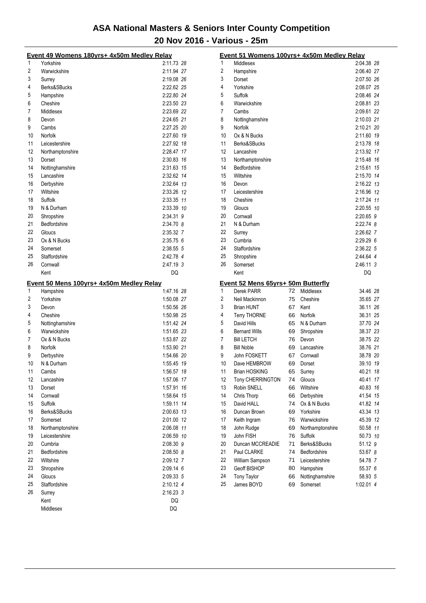|    | Event 49 Womens 180yrs+ 4x50m Medley Relay |                   |  |
|----|--------------------------------------------|-------------------|--|
| 1  | Yorkshire                                  | 2:11.73 28        |  |
| 2  | Warwickshire                               | 2:11.94 27        |  |
| 3  | Surrey                                     | 2:19.08 26        |  |
| 4  | Berks&SBucks                               | 2:22.62 25        |  |
| 5  | Hampshire                                  | 2:22.80 24        |  |
| 6  | Cheshire                                   | 2:23.50 23        |  |
| 7  | Middlesex                                  | 2:23.69 22        |  |
| 8  | Devon                                      | 2:24.65 21        |  |
| 9  | Cambs                                      | 2:27.25 20        |  |
| 10 | Norfolk                                    | 2:27.60 19        |  |
| 11 | Leicestershire                             | 2:27.92 18        |  |
| 12 | Northamptonshire                           | 2:28.47 17        |  |
| 13 | Dorset                                     | 2:30.83 16        |  |
| 14 | Nottinghamshire                            | 2:31.63 15        |  |
| 15 | Lancashire                                 | 2:32.62 14        |  |
| 16 | Derbyshire                                 | 2:32.64 13        |  |
| 17 | Wiltshire                                  | 2:33.26 12        |  |
| 18 | Suffolk                                    | 2:33.35 11        |  |
| 19 | N & Durham                                 | 2:33.39 10        |  |
| 20 | Shropshire                                 | 2:34.31 9         |  |
| 21 | Bedfordshire                               | 2:34.70 8         |  |
| 22 | Gloucs                                     | 2:35.32 7         |  |
| 23 | Ox & N Bucks                               | 2:35.756          |  |
| 24 | Somerset                                   | 2:38.55 5         |  |
| 25 | Staffordshire                              | 2:42.78 4         |  |
| 26 | Cornwall                                   | 2:47.19 3         |  |
|    | Kent                                       | DQ                |  |
|    |                                            |                   |  |
|    |                                            |                   |  |
|    | Event 50 Mens 100yrs+ 4x50m Medley Relay   |                   |  |
| 1  | Hampshire                                  | 1:47.16 28        |  |
| 2  | Yorkshire                                  | 1:50.08 27        |  |
| 3  | Devon                                      | 1:50.56 26        |  |
| 4  | Cheshire                                   | 1:50.98 25        |  |
| 5  | Nottinghamshire                            | 1:51.42 24        |  |
| 6  | Warwickshire                               | 1:51.65 23        |  |
| 7  | Ox & N Bucks                               | 1:53.87 22        |  |
| 8  | Norfolk                                    | 1:53.90 21        |  |
| 9  | Derbyshire                                 | 1:54.66 20        |  |
| 10 | N & Durham                                 | 1:55.45 19        |  |
| 11 | Cambs                                      | 1:56.57 18        |  |
| 12 | Lancashire                                 | 1:57.06 17        |  |
| 13 | Dorset                                     | 1:57.91 16        |  |
| 14 | Cornwall                                   | 1:58.64 15        |  |
| 15 | Suffolk                                    | 1:59.11 14        |  |
| 16 | Berks&SBucks                               | 2:00.63 13        |  |
| 17 | Somerset                                   | 2:01.00 12        |  |
| 18 | Northamptonshire                           | 2:06.08 11        |  |
| 19 | Leicestershire                             | 2:06.59 10        |  |
| 20 | Cumbria                                    | 2:08.30 9         |  |
| 21 | Bedfordshire                               | $2:08.50$ 8       |  |
| 22 | Wiltshire                                  | 2:09.12 7         |  |
| 23 | Shropshire                                 | 2:09.14 6         |  |
| 24 | Gloucs                                     | 2:09.33 5         |  |
| 25 | Staffordshire                              | 2:10.12 4         |  |
| 26 | Surrey<br>Kent                             | $2:16.23$ 3<br>DQ |  |

| 1  | Event 51 Womens 100yrs+ 4x50m Medley Relay |    |                  | 2:04.38 28  |    |
|----|--------------------------------------------|----|------------------|-------------|----|
|    | Middlesex                                  |    |                  |             |    |
| 2  | Hampshire                                  |    |                  | 2:06.40 27  |    |
| 3  | Dorset                                     |    |                  | 2:07.50 26  |    |
| 4  | Yorkshire                                  |    |                  | 2:08.07 25  |    |
| 5  | Suffolk                                    |    |                  | 2:08.46 24  |    |
| 6  | Warwickshire                               |    |                  | 2:08.81 23  |    |
| 7  | Cambs                                      |    |                  | 2:09.61 22  |    |
| 8  | Nottinghamshire                            |    |                  | 2:10.03 21  |    |
| 9  | Norfolk                                    |    |                  | 2:10.21 20  |    |
| 10 | Ox & N Bucks                               |    |                  | 2:11.60 19  |    |
| 11 | Berks&SBucks                               |    |                  | 2:13.78 18  |    |
| 12 | Lancashire                                 |    |                  | 2:13.92 17  |    |
| 13 | Northamptonshire                           |    |                  | 2:15.48 16  |    |
| 14 | Bedfordshire                               |    |                  | 2:15.61 15  |    |
| 15 | Wiltshire                                  |    |                  | 2:15.70 14  |    |
| 16 | Devon                                      |    |                  | 2:16.22 13  |    |
| 17 | Leicestershire                             |    |                  | 2:16.96 12  |    |
| 18 | Cheshire                                   |    |                  | 2:17.24 11  |    |
| 19 | Gloucs                                     |    |                  | 2:20.55 10  |    |
| 20 | Cornwall                                   |    |                  | 2:20.65 9   |    |
| 21 | N & Durham                                 |    |                  | 2:22.74 8   |    |
| 22 | Surrey                                     |    |                  | 2:26.62 7   |    |
| 23 | Cumbria                                    |    |                  | 2:29.296    |    |
| 24 | Staffordshire                              |    |                  | 2:36.22 5   |    |
| 25 | Shropshire                                 |    |                  | 2:44.64 4   |    |
| 26 | Somerset                                   |    |                  | 2:46.11 3   |    |
|    | Kent                                       |    |                  | DQ          |    |
|    | Event 52 Mens 65yrs+ 50m Butterfly         |    |                  |             |    |
| 1  | Derek PARR                                 | 72 | Middlesex        | 34.46 28    |    |
| 2  | Neil Mackinnon                             | 75 | Cheshire         | 35.65 27    |    |
| 3  | <b>Brian HUNT</b>                          | 67 | Kent             | 36.11 26    |    |
| 4  | <b>Terry THORNE</b>                        | 66 | Norfolk          | 36.31 25    |    |
| 5  | David Hills                                | 65 | N & Durham       | 37.70 24    |    |
| 6  | <b>Bernard Wills</b>                       | 69 | Shropshire       | 38.37 23    |    |
| 7  | <b>Bill LETCH</b>                          | 76 | Devon            | 38.75 22    |    |
| 8  | <b>Bill Noble</b>                          | 69 | Lancashire       | 38.76 21    |    |
| 9  | John FOSKETT                               | 67 | Cornwall         | 38.78 20    |    |
| 10 | Dave HEMBROW                               | 69 | Dorset           | 39.10 19    |    |
| 11 | <b>Brian HOSKING</b>                       | 65 | Surrey           | 40.21 18    |    |
| 12 | Tony CHERRINGTON                           | 74 | Gloucs           | 40.41 17    |    |
| 13 | Robin SNELL                                | 66 | Wiltshire        | 40.83       | 16 |
| 14 | Chris Thorp                                | 66 | Derbyshire       | 41.54 15    |    |
| 15 | David HALL                                 | 74 | Ox & N Bucks     | 41.82 14    |    |
| 16 | Duncan Brown                               | 69 | Yorkshire        | 43.34       | 13 |
| 17 | Keith Ingram                               | 76 | Warwickshire     | 45.39       | 12 |
| 18 | John Rudge                                 | 69 | Northamptonshire | 50.58 11    |    |
| 19 | John FISH                                  | 76 | Suffolk          | 50.73 10    |    |
| 20 | Duncan MCCREADIE                           | 71 | Berks&SBucks     | 51.12 9     |    |
| 21 | Paul CLARKE                                | 74 | Bedfordshire     | 53.67 8     |    |
| 22 | William Sampson                            | 71 | Leicestershire   | 54.78 7     |    |
| 23 | Geoff BISHOP                               | 80 | Hampshire        | 55.37 6     |    |
| 24 | <b>Tony Taylor</b>                         | 66 | Nottinghamshire  | 58.93 5     |    |
| 25 | James BOYD                                 | 69 | Somerset         | $1:02.01$ 4 |    |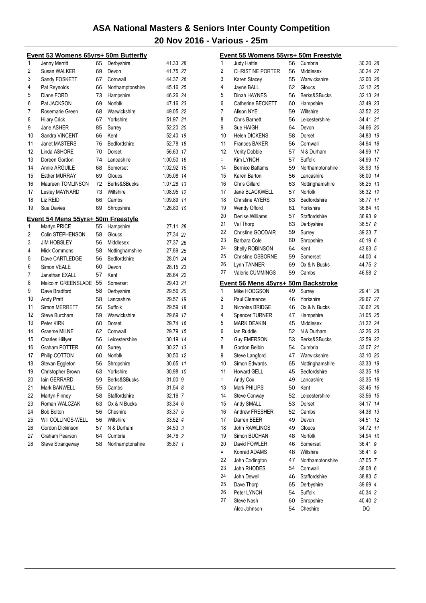| 1<br>65<br>Jenny Merritt<br>Derbyshire<br>41.33 28<br>$\overline{2}$<br>Susan WALKER<br>69<br>41.75 27<br>Devon<br>3<br>Sandy FOSKETT<br>67<br>44.37 26<br>Cornwall<br>4<br>Pat Reynolds<br>45.16 25<br>66<br>Northamptonshire<br>5<br>Diane FORD<br>73<br>46.26 24<br>Hampshire<br>6<br>Pat JACKSON<br>69<br>Norfolk<br>47.16 23<br>7<br>Warwickshire<br>49.05 22<br>Rosemarie Green<br>68<br>8<br><b>Hilary Crick</b><br>67<br>Yorkshire<br>51.97 21<br>9<br>Jane ASHER<br>52.20 20<br>85<br>Surrey<br>10<br>Sandra VINCENT<br>66<br>Kent<br>52.40 19<br>11<br>Bedfordshire<br><b>Janet MASTERS</b><br>76<br>52.78 18<br>12<br>56.63 17<br>Linda ASHORE<br>70<br>Dorset<br>13<br>Doreen Gordon<br>74<br>1:00.50 16<br>Lancashire<br>14<br>Annie ARGUILE<br>1:02.92 15<br>68<br>Somerset<br>15<br><b>Esther MURRAY</b><br>69<br>1:05.08 14<br>Gloucs<br>16<br>Maureen TOMLINSON<br>Berks&SBucks<br>1:07.28 13<br>72<br>17<br>Lesley MAYNARD<br>73<br>Wiltshire<br>1:08.95 12<br>Liz REID<br>18<br>Cambs<br>1:09.89 11<br>66<br>19<br>Sue Davies<br>69<br>Shropshire<br>1:26.80<br>10<br>Event 54 Mens 55yrs+ 50m Freestyle<br>55<br>1<br>Martyn PRICE<br>Hampshire<br>27.11 28<br>2<br>27.34 27<br>Colin STEPHENSON<br>58<br>Gloucs<br>3<br><b>JIM HOBSLEY</b><br>56<br>Middlesex<br>27.37 26<br>4<br>27.89 25<br><b>Mick Commons</b><br>58<br>Nottinghamshire<br>5<br>Dave CARTLEDGE<br>56<br>Bedfordshire<br>28.01 24<br>6<br>28.15 23<br>Simon VEALE<br>60<br>Devon<br>7<br>Janathan EXALL<br>57<br>Kent<br>28.64 22<br>8<br>Malcolm GREENSLADE<br>29.43 21<br>55<br>Somerset<br>9<br>Dave Bradford<br>58<br>Derbyshire<br>29.56 20<br>10<br>Andy Pratt<br>58<br>29.57 19<br>Lancashire<br>11<br>Simon MERRETT<br>56<br>Suffolk<br>29.59 18<br>12<br>29.69 17<br>Steve Burcham<br>59<br>Warwickshire<br>13<br>Peter KIRK<br>29.74 16<br>60<br>Dorset<br>14<br>Graeme MILNE<br>Cornwall<br>29.79 15<br>62<br>15<br><b>Charles Hillyer</b><br>56<br>Leicestershire<br>30.19 14<br>16<br>Graham POTTER<br>30.27 13<br>60<br>Surrey<br>17<br>Norfolk<br>Philip COTTON<br>60<br>30.50<br>-12<br>18<br>Stevan Eggleton<br>56<br>Shropshire<br>30.65<br>11<br>19<br>10<br>Christopher Brown<br>63<br>Yorkshire<br>30.98<br>20<br>Berks&SBucks<br>lain GERRARD<br>31.00 9<br>59<br>21<br>31.54 8<br>Mark BANWELL<br>55<br>Cambs<br>22<br>Martyn Finney<br>Staffordshire<br>32.16 7<br>58<br>23<br>Roman WALCZAK<br>63<br>Ox & N Bucks<br>33.34 6<br>24<br>33.37 5<br><b>Bob Bolton</b><br>56<br>Cheshire<br>25<br>33.52 4<br>Will COLLINGS-WELL<br>56<br>Wiltshire<br>26<br>34.53 3<br>Gordon Dickinson<br>N & Durham<br>57<br>27<br>34.76 2<br>Graham Pearson<br>Cumbria<br>64<br>28<br>Steve Strangeway<br>58<br>Northamptonshire<br>35.87 1 | <u> Event 53 Womens 65yrs+ 50m Butterfly</u> |  |  |  |  |  |  |  |
|--------------------------------------------------------------------------------------------------------------------------------------------------------------------------------------------------------------------------------------------------------------------------------------------------------------------------------------------------------------------------------------------------------------------------------------------------------------------------------------------------------------------------------------------------------------------------------------------------------------------------------------------------------------------------------------------------------------------------------------------------------------------------------------------------------------------------------------------------------------------------------------------------------------------------------------------------------------------------------------------------------------------------------------------------------------------------------------------------------------------------------------------------------------------------------------------------------------------------------------------------------------------------------------------------------------------------------------------------------------------------------------------------------------------------------------------------------------------------------------------------------------------------------------------------------------------------------------------------------------------------------------------------------------------------------------------------------------------------------------------------------------------------------------------------------------------------------------------------------------------------------------------------------------------------------------------------------------------------------------------------------------------------------------------------------------------------------------------------------------------------------------------------------------------------------------------------------------------------------------------------------------------------------------------------------------------------------------------------------------------------------------------------------------------------------------------------------------------------------------------------------------------------------------------------------------------------------------------------------------------------------------------------------------------------------------------------------------------------------------------|----------------------------------------------|--|--|--|--|--|--|--|
|                                                                                                                                                                                                                                                                                                                                                                                                                                                                                                                                                                                                                                                                                                                                                                                                                                                                                                                                                                                                                                                                                                                                                                                                                                                                                                                                                                                                                                                                                                                                                                                                                                                                                                                                                                                                                                                                                                                                                                                                                                                                                                                                                                                                                                                                                                                                                                                                                                                                                                                                                                                                                                                                                                                                            |                                              |  |  |  |  |  |  |  |
|                                                                                                                                                                                                                                                                                                                                                                                                                                                                                                                                                                                                                                                                                                                                                                                                                                                                                                                                                                                                                                                                                                                                                                                                                                                                                                                                                                                                                                                                                                                                                                                                                                                                                                                                                                                                                                                                                                                                                                                                                                                                                                                                                                                                                                                                                                                                                                                                                                                                                                                                                                                                                                                                                                                                            |                                              |  |  |  |  |  |  |  |
|                                                                                                                                                                                                                                                                                                                                                                                                                                                                                                                                                                                                                                                                                                                                                                                                                                                                                                                                                                                                                                                                                                                                                                                                                                                                                                                                                                                                                                                                                                                                                                                                                                                                                                                                                                                                                                                                                                                                                                                                                                                                                                                                                                                                                                                                                                                                                                                                                                                                                                                                                                                                                                                                                                                                            |                                              |  |  |  |  |  |  |  |
|                                                                                                                                                                                                                                                                                                                                                                                                                                                                                                                                                                                                                                                                                                                                                                                                                                                                                                                                                                                                                                                                                                                                                                                                                                                                                                                                                                                                                                                                                                                                                                                                                                                                                                                                                                                                                                                                                                                                                                                                                                                                                                                                                                                                                                                                                                                                                                                                                                                                                                                                                                                                                                                                                                                                            |                                              |  |  |  |  |  |  |  |
|                                                                                                                                                                                                                                                                                                                                                                                                                                                                                                                                                                                                                                                                                                                                                                                                                                                                                                                                                                                                                                                                                                                                                                                                                                                                                                                                                                                                                                                                                                                                                                                                                                                                                                                                                                                                                                                                                                                                                                                                                                                                                                                                                                                                                                                                                                                                                                                                                                                                                                                                                                                                                                                                                                                                            |                                              |  |  |  |  |  |  |  |
|                                                                                                                                                                                                                                                                                                                                                                                                                                                                                                                                                                                                                                                                                                                                                                                                                                                                                                                                                                                                                                                                                                                                                                                                                                                                                                                                                                                                                                                                                                                                                                                                                                                                                                                                                                                                                                                                                                                                                                                                                                                                                                                                                                                                                                                                                                                                                                                                                                                                                                                                                                                                                                                                                                                                            |                                              |  |  |  |  |  |  |  |
|                                                                                                                                                                                                                                                                                                                                                                                                                                                                                                                                                                                                                                                                                                                                                                                                                                                                                                                                                                                                                                                                                                                                                                                                                                                                                                                                                                                                                                                                                                                                                                                                                                                                                                                                                                                                                                                                                                                                                                                                                                                                                                                                                                                                                                                                                                                                                                                                                                                                                                                                                                                                                                                                                                                                            |                                              |  |  |  |  |  |  |  |
|                                                                                                                                                                                                                                                                                                                                                                                                                                                                                                                                                                                                                                                                                                                                                                                                                                                                                                                                                                                                                                                                                                                                                                                                                                                                                                                                                                                                                                                                                                                                                                                                                                                                                                                                                                                                                                                                                                                                                                                                                                                                                                                                                                                                                                                                                                                                                                                                                                                                                                                                                                                                                                                                                                                                            |                                              |  |  |  |  |  |  |  |
|                                                                                                                                                                                                                                                                                                                                                                                                                                                                                                                                                                                                                                                                                                                                                                                                                                                                                                                                                                                                                                                                                                                                                                                                                                                                                                                                                                                                                                                                                                                                                                                                                                                                                                                                                                                                                                                                                                                                                                                                                                                                                                                                                                                                                                                                                                                                                                                                                                                                                                                                                                                                                                                                                                                                            |                                              |  |  |  |  |  |  |  |
|                                                                                                                                                                                                                                                                                                                                                                                                                                                                                                                                                                                                                                                                                                                                                                                                                                                                                                                                                                                                                                                                                                                                                                                                                                                                                                                                                                                                                                                                                                                                                                                                                                                                                                                                                                                                                                                                                                                                                                                                                                                                                                                                                                                                                                                                                                                                                                                                                                                                                                                                                                                                                                                                                                                                            |                                              |  |  |  |  |  |  |  |
|                                                                                                                                                                                                                                                                                                                                                                                                                                                                                                                                                                                                                                                                                                                                                                                                                                                                                                                                                                                                                                                                                                                                                                                                                                                                                                                                                                                                                                                                                                                                                                                                                                                                                                                                                                                                                                                                                                                                                                                                                                                                                                                                                                                                                                                                                                                                                                                                                                                                                                                                                                                                                                                                                                                                            |                                              |  |  |  |  |  |  |  |
|                                                                                                                                                                                                                                                                                                                                                                                                                                                                                                                                                                                                                                                                                                                                                                                                                                                                                                                                                                                                                                                                                                                                                                                                                                                                                                                                                                                                                                                                                                                                                                                                                                                                                                                                                                                                                                                                                                                                                                                                                                                                                                                                                                                                                                                                                                                                                                                                                                                                                                                                                                                                                                                                                                                                            |                                              |  |  |  |  |  |  |  |
|                                                                                                                                                                                                                                                                                                                                                                                                                                                                                                                                                                                                                                                                                                                                                                                                                                                                                                                                                                                                                                                                                                                                                                                                                                                                                                                                                                                                                                                                                                                                                                                                                                                                                                                                                                                                                                                                                                                                                                                                                                                                                                                                                                                                                                                                                                                                                                                                                                                                                                                                                                                                                                                                                                                                            |                                              |  |  |  |  |  |  |  |
|                                                                                                                                                                                                                                                                                                                                                                                                                                                                                                                                                                                                                                                                                                                                                                                                                                                                                                                                                                                                                                                                                                                                                                                                                                                                                                                                                                                                                                                                                                                                                                                                                                                                                                                                                                                                                                                                                                                                                                                                                                                                                                                                                                                                                                                                                                                                                                                                                                                                                                                                                                                                                                                                                                                                            |                                              |  |  |  |  |  |  |  |
|                                                                                                                                                                                                                                                                                                                                                                                                                                                                                                                                                                                                                                                                                                                                                                                                                                                                                                                                                                                                                                                                                                                                                                                                                                                                                                                                                                                                                                                                                                                                                                                                                                                                                                                                                                                                                                                                                                                                                                                                                                                                                                                                                                                                                                                                                                                                                                                                                                                                                                                                                                                                                                                                                                                                            |                                              |  |  |  |  |  |  |  |
|                                                                                                                                                                                                                                                                                                                                                                                                                                                                                                                                                                                                                                                                                                                                                                                                                                                                                                                                                                                                                                                                                                                                                                                                                                                                                                                                                                                                                                                                                                                                                                                                                                                                                                                                                                                                                                                                                                                                                                                                                                                                                                                                                                                                                                                                                                                                                                                                                                                                                                                                                                                                                                                                                                                                            |                                              |  |  |  |  |  |  |  |
|                                                                                                                                                                                                                                                                                                                                                                                                                                                                                                                                                                                                                                                                                                                                                                                                                                                                                                                                                                                                                                                                                                                                                                                                                                                                                                                                                                                                                                                                                                                                                                                                                                                                                                                                                                                                                                                                                                                                                                                                                                                                                                                                                                                                                                                                                                                                                                                                                                                                                                                                                                                                                                                                                                                                            |                                              |  |  |  |  |  |  |  |
|                                                                                                                                                                                                                                                                                                                                                                                                                                                                                                                                                                                                                                                                                                                                                                                                                                                                                                                                                                                                                                                                                                                                                                                                                                                                                                                                                                                                                                                                                                                                                                                                                                                                                                                                                                                                                                                                                                                                                                                                                                                                                                                                                                                                                                                                                                                                                                                                                                                                                                                                                                                                                                                                                                                                            |                                              |  |  |  |  |  |  |  |
|                                                                                                                                                                                                                                                                                                                                                                                                                                                                                                                                                                                                                                                                                                                                                                                                                                                                                                                                                                                                                                                                                                                                                                                                                                                                                                                                                                                                                                                                                                                                                                                                                                                                                                                                                                                                                                                                                                                                                                                                                                                                                                                                                                                                                                                                                                                                                                                                                                                                                                                                                                                                                                                                                                                                            |                                              |  |  |  |  |  |  |  |
|                                                                                                                                                                                                                                                                                                                                                                                                                                                                                                                                                                                                                                                                                                                                                                                                                                                                                                                                                                                                                                                                                                                                                                                                                                                                                                                                                                                                                                                                                                                                                                                                                                                                                                                                                                                                                                                                                                                                                                                                                                                                                                                                                                                                                                                                                                                                                                                                                                                                                                                                                                                                                                                                                                                                            |                                              |  |  |  |  |  |  |  |
|                                                                                                                                                                                                                                                                                                                                                                                                                                                                                                                                                                                                                                                                                                                                                                                                                                                                                                                                                                                                                                                                                                                                                                                                                                                                                                                                                                                                                                                                                                                                                                                                                                                                                                                                                                                                                                                                                                                                                                                                                                                                                                                                                                                                                                                                                                                                                                                                                                                                                                                                                                                                                                                                                                                                            |                                              |  |  |  |  |  |  |  |
|                                                                                                                                                                                                                                                                                                                                                                                                                                                                                                                                                                                                                                                                                                                                                                                                                                                                                                                                                                                                                                                                                                                                                                                                                                                                                                                                                                                                                                                                                                                                                                                                                                                                                                                                                                                                                                                                                                                                                                                                                                                                                                                                                                                                                                                                                                                                                                                                                                                                                                                                                                                                                                                                                                                                            |                                              |  |  |  |  |  |  |  |
|                                                                                                                                                                                                                                                                                                                                                                                                                                                                                                                                                                                                                                                                                                                                                                                                                                                                                                                                                                                                                                                                                                                                                                                                                                                                                                                                                                                                                                                                                                                                                                                                                                                                                                                                                                                                                                                                                                                                                                                                                                                                                                                                                                                                                                                                                                                                                                                                                                                                                                                                                                                                                                                                                                                                            |                                              |  |  |  |  |  |  |  |
|                                                                                                                                                                                                                                                                                                                                                                                                                                                                                                                                                                                                                                                                                                                                                                                                                                                                                                                                                                                                                                                                                                                                                                                                                                                                                                                                                                                                                                                                                                                                                                                                                                                                                                                                                                                                                                                                                                                                                                                                                                                                                                                                                                                                                                                                                                                                                                                                                                                                                                                                                                                                                                                                                                                                            |                                              |  |  |  |  |  |  |  |
|                                                                                                                                                                                                                                                                                                                                                                                                                                                                                                                                                                                                                                                                                                                                                                                                                                                                                                                                                                                                                                                                                                                                                                                                                                                                                                                                                                                                                                                                                                                                                                                                                                                                                                                                                                                                                                                                                                                                                                                                                                                                                                                                                                                                                                                                                                                                                                                                                                                                                                                                                                                                                                                                                                                                            |                                              |  |  |  |  |  |  |  |
|                                                                                                                                                                                                                                                                                                                                                                                                                                                                                                                                                                                                                                                                                                                                                                                                                                                                                                                                                                                                                                                                                                                                                                                                                                                                                                                                                                                                                                                                                                                                                                                                                                                                                                                                                                                                                                                                                                                                                                                                                                                                                                                                                                                                                                                                                                                                                                                                                                                                                                                                                                                                                                                                                                                                            |                                              |  |  |  |  |  |  |  |
|                                                                                                                                                                                                                                                                                                                                                                                                                                                                                                                                                                                                                                                                                                                                                                                                                                                                                                                                                                                                                                                                                                                                                                                                                                                                                                                                                                                                                                                                                                                                                                                                                                                                                                                                                                                                                                                                                                                                                                                                                                                                                                                                                                                                                                                                                                                                                                                                                                                                                                                                                                                                                                                                                                                                            |                                              |  |  |  |  |  |  |  |
|                                                                                                                                                                                                                                                                                                                                                                                                                                                                                                                                                                                                                                                                                                                                                                                                                                                                                                                                                                                                                                                                                                                                                                                                                                                                                                                                                                                                                                                                                                                                                                                                                                                                                                                                                                                                                                                                                                                                                                                                                                                                                                                                                                                                                                                                                                                                                                                                                                                                                                                                                                                                                                                                                                                                            |                                              |  |  |  |  |  |  |  |
|                                                                                                                                                                                                                                                                                                                                                                                                                                                                                                                                                                                                                                                                                                                                                                                                                                                                                                                                                                                                                                                                                                                                                                                                                                                                                                                                                                                                                                                                                                                                                                                                                                                                                                                                                                                                                                                                                                                                                                                                                                                                                                                                                                                                                                                                                                                                                                                                                                                                                                                                                                                                                                                                                                                                            |                                              |  |  |  |  |  |  |  |
|                                                                                                                                                                                                                                                                                                                                                                                                                                                                                                                                                                                                                                                                                                                                                                                                                                                                                                                                                                                                                                                                                                                                                                                                                                                                                                                                                                                                                                                                                                                                                                                                                                                                                                                                                                                                                                                                                                                                                                                                                                                                                                                                                                                                                                                                                                                                                                                                                                                                                                                                                                                                                                                                                                                                            |                                              |  |  |  |  |  |  |  |
|                                                                                                                                                                                                                                                                                                                                                                                                                                                                                                                                                                                                                                                                                                                                                                                                                                                                                                                                                                                                                                                                                                                                                                                                                                                                                                                                                                                                                                                                                                                                                                                                                                                                                                                                                                                                                                                                                                                                                                                                                                                                                                                                                                                                                                                                                                                                                                                                                                                                                                                                                                                                                                                                                                                                            |                                              |  |  |  |  |  |  |  |
|                                                                                                                                                                                                                                                                                                                                                                                                                                                                                                                                                                                                                                                                                                                                                                                                                                                                                                                                                                                                                                                                                                                                                                                                                                                                                                                                                                                                                                                                                                                                                                                                                                                                                                                                                                                                                                                                                                                                                                                                                                                                                                                                                                                                                                                                                                                                                                                                                                                                                                                                                                                                                                                                                                                                            |                                              |  |  |  |  |  |  |  |
|                                                                                                                                                                                                                                                                                                                                                                                                                                                                                                                                                                                                                                                                                                                                                                                                                                                                                                                                                                                                                                                                                                                                                                                                                                                                                                                                                                                                                                                                                                                                                                                                                                                                                                                                                                                                                                                                                                                                                                                                                                                                                                                                                                                                                                                                                                                                                                                                                                                                                                                                                                                                                                                                                                                                            |                                              |  |  |  |  |  |  |  |
|                                                                                                                                                                                                                                                                                                                                                                                                                                                                                                                                                                                                                                                                                                                                                                                                                                                                                                                                                                                                                                                                                                                                                                                                                                                                                                                                                                                                                                                                                                                                                                                                                                                                                                                                                                                                                                                                                                                                                                                                                                                                                                                                                                                                                                                                                                                                                                                                                                                                                                                                                                                                                                                                                                                                            |                                              |  |  |  |  |  |  |  |
|                                                                                                                                                                                                                                                                                                                                                                                                                                                                                                                                                                                                                                                                                                                                                                                                                                                                                                                                                                                                                                                                                                                                                                                                                                                                                                                                                                                                                                                                                                                                                                                                                                                                                                                                                                                                                                                                                                                                                                                                                                                                                                                                                                                                                                                                                                                                                                                                                                                                                                                                                                                                                                                                                                                                            |                                              |  |  |  |  |  |  |  |
|                                                                                                                                                                                                                                                                                                                                                                                                                                                                                                                                                                                                                                                                                                                                                                                                                                                                                                                                                                                                                                                                                                                                                                                                                                                                                                                                                                                                                                                                                                                                                                                                                                                                                                                                                                                                                                                                                                                                                                                                                                                                                                                                                                                                                                                                                                                                                                                                                                                                                                                                                                                                                                                                                                                                            |                                              |  |  |  |  |  |  |  |
|                                                                                                                                                                                                                                                                                                                                                                                                                                                                                                                                                                                                                                                                                                                                                                                                                                                                                                                                                                                                                                                                                                                                                                                                                                                                                                                                                                                                                                                                                                                                                                                                                                                                                                                                                                                                                                                                                                                                                                                                                                                                                                                                                                                                                                                                                                                                                                                                                                                                                                                                                                                                                                                                                                                                            |                                              |  |  |  |  |  |  |  |
|                                                                                                                                                                                                                                                                                                                                                                                                                                                                                                                                                                                                                                                                                                                                                                                                                                                                                                                                                                                                                                                                                                                                                                                                                                                                                                                                                                                                                                                                                                                                                                                                                                                                                                                                                                                                                                                                                                                                                                                                                                                                                                                                                                                                                                                                                                                                                                                                                                                                                                                                                                                                                                                                                                                                            |                                              |  |  |  |  |  |  |  |
|                                                                                                                                                                                                                                                                                                                                                                                                                                                                                                                                                                                                                                                                                                                                                                                                                                                                                                                                                                                                                                                                                                                                                                                                                                                                                                                                                                                                                                                                                                                                                                                                                                                                                                                                                                                                                                                                                                                                                                                                                                                                                                                                                                                                                                                                                                                                                                                                                                                                                                                                                                                                                                                                                                                                            |                                              |  |  |  |  |  |  |  |
|                                                                                                                                                                                                                                                                                                                                                                                                                                                                                                                                                                                                                                                                                                                                                                                                                                                                                                                                                                                                                                                                                                                                                                                                                                                                                                                                                                                                                                                                                                                                                                                                                                                                                                                                                                                                                                                                                                                                                                                                                                                                                                                                                                                                                                                                                                                                                                                                                                                                                                                                                                                                                                                                                                                                            |                                              |  |  |  |  |  |  |  |
|                                                                                                                                                                                                                                                                                                                                                                                                                                                                                                                                                                                                                                                                                                                                                                                                                                                                                                                                                                                                                                                                                                                                                                                                                                                                                                                                                                                                                                                                                                                                                                                                                                                                                                                                                                                                                                                                                                                                                                                                                                                                                                                                                                                                                                                                                                                                                                                                                                                                                                                                                                                                                                                                                                                                            |                                              |  |  |  |  |  |  |  |
|                                                                                                                                                                                                                                                                                                                                                                                                                                                                                                                                                                                                                                                                                                                                                                                                                                                                                                                                                                                                                                                                                                                                                                                                                                                                                                                                                                                                                                                                                                                                                                                                                                                                                                                                                                                                                                                                                                                                                                                                                                                                                                                                                                                                                                                                                                                                                                                                                                                                                                                                                                                                                                                                                                                                            |                                              |  |  |  |  |  |  |  |
|                                                                                                                                                                                                                                                                                                                                                                                                                                                                                                                                                                                                                                                                                                                                                                                                                                                                                                                                                                                                                                                                                                                                                                                                                                                                                                                                                                                                                                                                                                                                                                                                                                                                                                                                                                                                                                                                                                                                                                                                                                                                                                                                                                                                                                                                                                                                                                                                                                                                                                                                                                                                                                                                                                                                            |                                              |  |  |  |  |  |  |  |
|                                                                                                                                                                                                                                                                                                                                                                                                                                                                                                                                                                                                                                                                                                                                                                                                                                                                                                                                                                                                                                                                                                                                                                                                                                                                                                                                                                                                                                                                                                                                                                                                                                                                                                                                                                                                                                                                                                                                                                                                                                                                                                                                                                                                                                                                                                                                                                                                                                                                                                                                                                                                                                                                                                                                            |                                              |  |  |  |  |  |  |  |
|                                                                                                                                                                                                                                                                                                                                                                                                                                                                                                                                                                                                                                                                                                                                                                                                                                                                                                                                                                                                                                                                                                                                                                                                                                                                                                                                                                                                                                                                                                                                                                                                                                                                                                                                                                                                                                                                                                                                                                                                                                                                                                                                                                                                                                                                                                                                                                                                                                                                                                                                                                                                                                                                                                                                            |                                              |  |  |  |  |  |  |  |
|                                                                                                                                                                                                                                                                                                                                                                                                                                                                                                                                                                                                                                                                                                                                                                                                                                                                                                                                                                                                                                                                                                                                                                                                                                                                                                                                                                                                                                                                                                                                                                                                                                                                                                                                                                                                                                                                                                                                                                                                                                                                                                                                                                                                                                                                                                                                                                                                                                                                                                                                                                                                                                                                                                                                            |                                              |  |  |  |  |  |  |  |
|                                                                                                                                                                                                                                                                                                                                                                                                                                                                                                                                                                                                                                                                                                                                                                                                                                                                                                                                                                                                                                                                                                                                                                                                                                                                                                                                                                                                                                                                                                                                                                                                                                                                                                                                                                                                                                                                                                                                                                                                                                                                                                                                                                                                                                                                                                                                                                                                                                                                                                                                                                                                                                                                                                                                            |                                              |  |  |  |  |  |  |  |
|                                                                                                                                                                                                                                                                                                                                                                                                                                                                                                                                                                                                                                                                                                                                                                                                                                                                                                                                                                                                                                                                                                                                                                                                                                                                                                                                                                                                                                                                                                                                                                                                                                                                                                                                                                                                                                                                                                                                                                                                                                                                                                                                                                                                                                                                                                                                                                                                                                                                                                                                                                                                                                                                                                                                            |                                              |  |  |  |  |  |  |  |

|     | <u> Event 55 Womens 55yrs+ 50m Freestyle</u> |    |                  |          |    |
|-----|----------------------------------------------|----|------------------|----------|----|
| 1   | Judy Hattle                                  | 56 | Cumbria          | 30.20 28 |    |
| 2   | <b>CHRISTINE PORTER</b>                      | 56 | Middlesex        | 30.24 27 |    |
| 3   | Karen Stacey                                 | 55 | Warwickshire     | 32.00 26 |    |
| 4   | Jayne BALL                                   | 62 | Gloucs           | 32.12 25 |    |
| 5   | Dinah HAYNES                                 | 56 | Berks&SBucks     | 32.13 24 |    |
| 6   | Catherine BECKETT                            | 60 | Hampshire        | 33.49 23 |    |
| 7   | <b>Alison NYE</b>                            | 59 | Wiltshire        | 33.52 22 |    |
| 8   | <b>Chris Barnett</b>                         | 56 | Leicestershire   | 34.41 21 |    |
| 9   | Sue HAIGH                                    | 64 | Devon            | 34.66 20 |    |
| 10  | <b>Helen DICKENS</b>                         | 58 | Dorset           | 34.83 19 |    |
| 11  | <b>Frances BAKER</b>                         | 56 | Cornwall         | 34.94 18 |    |
| 12  | <b>Verity Dobbie</b>                         | 57 | N & Durham       | 34.99 17 |    |
| $=$ | Kim LYNCH                                    | 57 | Suffolk          | 34.99 17 |    |
| 14  | <b>Bernice Battams</b>                       | 59 | Northamptonshire | 35.93 15 |    |
| 15  | Karen Barton                                 | 56 | Lancashire       | 36.00 14 |    |
| 16  | Chris Gillard                                | 63 | Nottinghamshire  | 36.25 13 |    |
| 17  | Jane BLACKWELL                               | 57 | Norfolk          | 36.32 12 |    |
| 18  | <b>Christine AYERS</b>                       | 63 | Bedfordshire     | 36.77 11 |    |
| 19  | Wendy Offord                                 | 61 | Yorkshire        | 36.84 10 |    |
| 20  | Denise Williams                              | 57 | Staffordshire    | 36.93 9  |    |
| 21  | Val Thorp                                    | 63 | Derbyshire       | 38.57 8  |    |
| 22  | Christine GOODAIR                            | 59 | Surrey           | 39.23 7  |    |
| 23  | Barbara Cole                                 | 60 | Shropshire       | 40.19 6  |    |
| 24  | Shelly ROBINSON                              | 64 | Kent             | 43.63 5  |    |
| 25  | Christine OSBORNE                            | 59 | Somerset         | 44.00 4  |    |
| 26  | Lynn TANNER                                  | 69 | Ox & N Bucks     | 44.75 3  |    |
| 27  | Valerie CUMMINGS                             | 59 | Cambs            | 46.58 2  |    |
|     | Event 56 Mens 45yrs+ 50m Backstroke          |    |                  |          |    |
| 1   | Mike HODGSON                                 | 49 | Surrey           | 29.41 28 |    |
| 2   | Paul Clemence                                | 46 | Yorkshire        | 29.67 27 |    |
| 3   | Nicholas BRIDGE                              | 46 | Ox & N Bucks     | 30.62 26 |    |
| 4   | <b>Spencer TURNER</b>                        | 47 | Hampshire        | 31.05 25 |    |
| 5   | <b>MARK DEAKIN</b>                           | 45 | Middlesex        | 31.22 24 |    |
| 6   | lan Ruddle                                   | 52 | N & Durham       | 32.26 23 |    |
| 7   | <b>Guy EMERSON</b>                           | 53 | Berks&SBucks     | 32.59 22 |    |
| 8   | Gordon Belbin                                | 54 | Cumbria          | 33.07 21 |    |
| 9   | Steve Langford                               | 47 | Warwickshire     | 33.10 20 |    |
| 10  | Simon Edwards                                | 65 | Nottinghamshire  | 33.33 19 |    |
| 11  | <b>Howard GELL</b>                           | 45 | Bedfordshire     | 33.35    | 18 |
| Ξ   | Andy Cox                                     | 49 | Lancashire       | 33.35 18 |    |
| 13  | Mark PHILIPS                                 | 50 | Kent             | 33.45    | 16 |
| 14  | <b>Steve Conway</b>                          | 52 | Leicestershire   | 33.56    | 15 |
| 15  | Andy SMALL                                   | 53 | Dorset           | 34.17    | 14 |
| 16  | Andrew FRESHER                               | 52 | Cambs            | 34.38 13 |    |
| 17  | Darren BEER                                  | 49 | Devon            | 34.51    | 12 |
| 18  | John RAWLINGS                                | 49 | Gloucs           | 34.72 11 |    |
| 19  | Simon BUCHAN                                 | 48 | Norfolk          | 34.94 10 |    |
| 20  | David FOWLER                                 | 46 | Somerset         | 36.41 9  |    |
| $=$ | Konrad ADAMS                                 | 48 | Wiltshire        | 36.41 9  |    |
| 22  | John Codington                               | 47 | Northamptonshire | 37.05 7  |    |
| 23  | John RHODES                                  | 54 | Cornwall         | 38.08 6  |    |
| 24  | John Dewell                                  | 46 | Staffordshire    | 38.83 5  |    |
| 25  | Dave Thorp                                   | 65 | Derbyshire       | 39.69 4  |    |
| 26  | Peter LYNCH                                  | 54 | Suffolk          | 40.34 3  |    |
| 27  | Steve Nash                                   | 60 | Shropshire       | 40.40 2  |    |
|     | Alec Johnson                                 | 54 | Cheshire         | DQ       |    |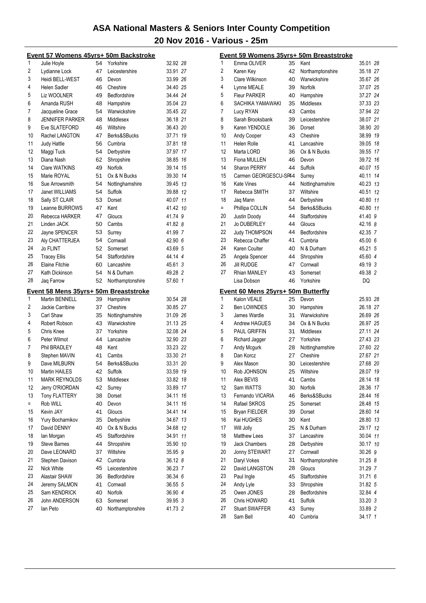|     | <u>Event 57 Womens 45yrs+ 50m Backstroke</u>                   |    |                  |          |    |
|-----|----------------------------------------------------------------|----|------------------|----------|----|
| 1   | Julie Hoyle                                                    | 54 | Yorkshire        | 32.92 28 |    |
| 2   | Lydianne Lock                                                  | 47 | Leicestershire   | 33.91 27 |    |
| 3   | Heidi BELL-WEST                                                | 46 | Devon            | 33.99 26 |    |
| 4   | <b>Helen Sadler</b>                                            | 46 | Cheshire         | 34.40 25 |    |
| 5   | Liz WOOLNER                                                    | 49 | Bedfordshire     | 34.44 24 |    |
| 6   | Amanda RUSH                                                    | 48 | Hampshire        | 35.04 23 |    |
| 7   | Jacqueline Grace                                               | 54 | Warwickshire     | 35.45 22 |    |
| 8   | <b>JENNIFER PARKER</b>                                         | 48 | Middlesex        | 36.18 21 |    |
| 9   | Eve SLATEFORD                                                  | 46 | Wiltshire        | 36.43 20 |    |
| 10  | Rachel LANGTON                                                 | 47 | Berks&SBucks     | 37.71 19 |    |
| 11  | <b>Judy Hattle</b>                                             | 56 | Cumbria          | 37.81    | 18 |
| 12  | Maggi Tuck                                                     | 54 | Derbyshire       | 37.97 17 |    |
| 13  | Diana Nash                                                     | 62 | Shropshire       | 38.85 16 |    |
| 14  | Clare WATKINS                                                  | 49 | Norfolk          | 39.14 15 |    |
| 15  | Marie ROYAL                                                    | 51 | Ox & N Bucks     | 39.30 14 |    |
| 16  | Sue Arrowsmith                                                 | 54 | Nottinghamshire  | 39.45 13 |    |
| 17  | Janet WILLIAMS                                                 | 54 | Suffolk          | 39.88 12 |    |
| 18  | Sally ST CLAIR                                                 | 53 | Dorset           | 40.07 11 |    |
| 19  | Leanne BURROWS                                                 | 47 | Kent             | 41.42 10 |    |
| 20  | Rebecca HARKER                                                 | 47 | Gloucs           | 41.74 9  |    |
| 21  | Linden JACK                                                    |    |                  |          |    |
|     |                                                                | 50 | Cambs            | 41.82 8  |    |
| 22  | Jayne SPENCER                                                  | 53 | Surrey           | 41.99 7  |    |
| 23  | Aly CHATTERJEA                                                 | 54 | Cornwall         | 42.90 6  |    |
| 24  | <b>Jo FLINT</b>                                                | 52 | Somerset         | 43.69 5  |    |
| 25  | <b>Tracey Ellis</b>                                            | 54 | Staffordshire    | 44.14 4  |    |
| 26  | <b>Elaine Fitchie</b>                                          | 60 | Lancashire       | 45.61 3  |    |
| 27  | Kath Dickinson                                                 | 54 | N & Durham       | 49.28 2  |    |
| 28  | Jaq Farrow                                                     | 52 | Northamptonshire | 57.60 1  |    |
|     |                                                                |    |                  |          |    |
|     |                                                                |    |                  |          |    |
| 1   | Event 58 Mens 35yrs+ 50m Breaststroke<br><b>Martin BENNELL</b> | 39 | Hampshire        | 30.54 28 |    |
| 2   | Jackie Carribine                                               | 37 | Cheshire         | 30.85 27 |    |
| 3   | Carl Shaw                                                      | 35 | Nottinghamshire  | 31.09 26 |    |
| 4   | Robert Robson                                                  | 43 | Warwickshire     | 31.13 25 |    |
| 5   | Chris Knee                                                     | 37 | Yorkshire        |          |    |
| 6   | Peter Wilmot                                                   | 44 | Lancashire       | 32.08 24 |    |
| 7   |                                                                | 48 | Kent             | 32.90 23 |    |
|     | Phil BRADLEY                                                   |    |                  | 33.23 22 |    |
| 8   | Stephen MAVIN                                                  | 41 | Cambs            | 33.30 21 |    |
| 9   | Dave MILBURN                                                   | 54 | Berks&SBucks     | 33.31 20 |    |
| 10  | <b>Martin HAILES</b>                                           | 42 | Suffolk          | 33.59    | 19 |
| 11  | <b>MARK REYNOLDS</b>                                           | 53 | Middlesex        | 33.82 18 |    |
| 12  | Jerry O'RIORDAN                                                | 42 | Surrey           | 33.89 17 |    |
| 13  | <b>Tony FLATTERY</b>                                           | 38 | Dorset           | 34.11    | 16 |
| $=$ | Rob WILL                                                       | 40 | Devon            | 34.11    | 16 |
| 15  | Kevin JAY                                                      | 41 | Gloucs           | 34.41    | 14 |
| 16  | Yury Bocharnikov                                               | 35 | Derbyshire       | 34.67    | 13 |
| 17  | David DENNY                                                    | 40 | Ox & N Bucks     | 34.68 12 |    |
| 18  | lan Morgan                                                     | 45 | Staffordshire    | 34.91    | 11 |
| 19  | <b>Steve Barnes</b>                                            | 44 | Shropshire       | 35.90 10 |    |
| 20  | Dave LEONARD                                                   | 37 | Wiltshire        | 35.95 9  |    |
| 21  | Stephen Davison                                                | 42 | Cumbria          | 36.12 8  |    |
| 22  | Nick White                                                     | 45 | Leicestershire   | 36.23 7  |    |
| 23  | Alastair SHAW                                                  | 36 | Bedfordshire     | 36.34 6  |    |
| 24  | Jeremy SALMON                                                  | 41 | Cornwall         | 36.55 5  |    |
| 25  | Sam KENDRICK                                                   | 40 | Norfolk          | 36.90 4  |    |
| 26  | John ANDERSON                                                  | 63 | Somerset         | 39.95 3  |    |
| 27  | lan Peto                                                       | 40 | Northamptonshire | 41.73 2  |    |

|          | Event 59 Womens 35yrs+ 50m Breaststroke |          |                   |                    |    |
|----------|-----------------------------------------|----------|-------------------|--------------------|----|
| 1        | Emma OLIVER                             | 35       | Kent              | 35.01 28           |    |
| 2        | Karen Key                               | 42       | Northamptonshire  | 35.18 27           |    |
| 3        | Clare Wilkinson                         | 40       | Warwickshire      | 35.67 26           |    |
| 4        | Lynne MEALE                             | 39       | Norfolk           | 37.07 25           |    |
| 5        | <b>Fleur PARKER</b>                     | 40       | Hampshire         | 37.27 24           |    |
| 6        | SACHIKA YAMAWAKI                        | 35       | Middlesex         | 37.33 23           |    |
| 7        | Lucy RYAN                               | 43       | Cambs             | 37.94 22           |    |
| 8        | Sarah Brooksbank                        | 39       | Leicestershire    | 38.07 21           |    |
| 9        | Karen YENDOLE                           | 36       | Dorset            | 38.90 20           |    |
| 10       | Andy Cooper                             | 43       | Cheshire          | 38.99 19           |    |
| 11       | Helen Rolle                             | 41       | Lancashire        | 39.05 18           |    |
| 12       | Marta LORD                              | 36       | Ox & N Bucks      | 39.55 17           |    |
| 13       | Fiona MULLEN                            | 46       | Devon             | 39.72 16           |    |
| 14       | Sharon PERRY                            | 44       | Suffolk           | 40.07 15           |    |
| 15       | Carmen GEORGESCU-SP44                   |          | Surrey            | 40.11              | 14 |
| 16       | Kate Vines                              | 44       | Nottinghamshire   | 40.23 13           |    |
| 17       | Rebecca SMITH                           | 37       | Wiltshire         | 40.51              | 12 |
| 18       | Jag Mann                                | 44       | Derbyshire        | 40.80 11           |    |
| $=$      | Phillipa COLLIN                         | 54       | Berks&SBucks      | 40.80 11           |    |
| 20       | Justin Doody                            | 44       | Staffordshire     | 41.40 9            |    |
| 21       | <b>Jo DUBERLEY</b>                      | 44       | Gloucs            | 42.16 8            |    |
| 22       | Judy THOMPSON                           | 44       | Bedfordshire      | 42.35 7            |    |
| 23       | Rebecca Chaffer                         | 41       | Cumbria           | 45.00 6            |    |
| 24       | Karen Coulter                           | 40       | N & Durham        | 45.21 5            |    |
| 25       | Angela Spencer                          | 44       | Shropshire        | 45.60 4            |    |
| 26       | <b>Jill RUDGE</b>                       | 47       | Cornwall          | 49.19 3            |    |
| 27       | Rhian MANLEY                            | 43       | Somerset          | 49.38 2            |    |
|          | Lisa Dobson                             | 46       | Yorkshire         | DQ                 |    |
|          |                                         |          |                   |                    |    |
|          | Event 60 Mens 25yrs+ 50m Butterfly      |          |                   |                    |    |
|          |                                         |          |                   |                    |    |
| 1        | Kalon VEALE                             | 25       | Devon             | 25.93 28           |    |
| 2        | <b>Ben LOWNDES</b>                      | 30       | Hampshire         | 26.18 27           |    |
| 3        | James Wardle                            | 31       | Warwickshire      | 26.69 26           |    |
| 4        | Andrew HAGUES                           | 34       | Ox & N Bucks      | 26.97 25           |    |
| 5        | PAUL GRIFFIN                            | 31       | Middlesex         | 27.11 24           |    |
| 6        | Richard Jagger                          | 27       | Yorkshire         | 27.43 23           |    |
| 7        | Andy Mcgurk                             | 28       | Nottinghamshire   | 27.60 22           |    |
| 8        | Dan Korcz                               | 27       | Cheshire          | 27.67 21           |    |
| 9        | Alex Mason                              | 30       | Leicestershire    | 27.68 20           |    |
| 10       | Rob JOHNSON                             | 25       | Wiltshire         | 28.07 19           |    |
| 11       | Alex BEVIS                              | 41       | Cambs             | 28.14 18           |    |
| 12       | Sam WATTS                               | 30       | Norfolk           | 28.36              | 17 |
| 13       | Fernando VICARIA                        | 46       | Berks&SBucks      | 28.44              | 16 |
| 14       | Rafael SKROS                            | 25       | Somerset          | 28.48              | 15 |
| 15       | <b>Bryan FIELDER</b>                    | 39       | Dorset            | 28.60              | 14 |
| 16       | Kai HUGHES                              | 30       | Kent              | 28.80 13           |    |
| 17       | Will Jolly                              | 25       | N & Durham        | 29.17 12           |    |
| 18       | <b>Matthew Lees</b>                     | 37       | Lancashire        | 30.04 11           |    |
| 19       | Jack Chambers                           | 28       | Derbyshire        | 30.17 10           |    |
| 20       | Jonny STEWART                           | 27       | Cornwall          | 30.26 9            |    |
| 21       | Daryl Vokes                             | 31       | Northamptonshire  | 31.25 8            |    |
| 22       | David LANGSTON                          | 28       | Gloucs            | 31.29 7            |    |
| 23       | Paul Ingle                              | 45       | Staffordshire     | 31.71 6            |    |
| 24       | Andy Lyle                               | 33       | Shropshire        | 31.82 5            |    |
| 25       | Owen JONES                              | 28       | Bedfordshire      | 32.84 4            |    |
| 26       | Chris HOWARD                            | 41       | Suffolk           | 33.20 3            |    |
| 27<br>28 | <b>Stuart SWAFFER</b><br>Sam Bell       | 43<br>40 | Surrey<br>Cumbria | 33.89 2<br>34.17 1 |    |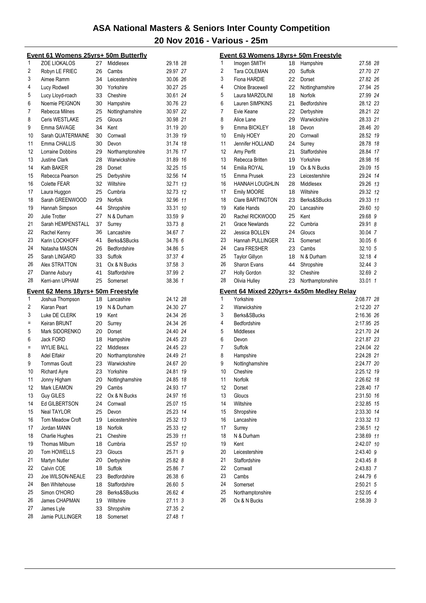|                                                                | Event 61 Womens 25yrs+ 50m Butterfly |          |                         |                     |                | Event 63 Womens 18yrs+ 50m Freestyle      |    |                  |            |
|----------------------------------------------------------------|--------------------------------------|----------|-------------------------|---------------------|----------------|-------------------------------------------|----|------------------|------------|
| 1                                                              | <b>ZOE LIOKALOS</b>                  | 27       | Middlesex               | 29.18 28            | 1              | Imogen SMITH                              | 18 | Hampshire        | 27.58 28   |
| 2                                                              | Robyn LE FRIEC                       | 26       | Cambs                   | 29.97 27            | 2              | Tara COLEMAN                              | 20 | Suffolk          | 27.70 27   |
| 3                                                              | Aimee Ramm                           | 34       | Leicestershire          | 30.06 26            | 3              | Fiona HARDIE                              | 22 | Dorset           | 27.82 26   |
| 4                                                              | Lucy Rodwell                         | 30       | Yorkshire               | 30.27 25            | 4              | Chloe Bracewell                           | 22 | Nottinghamshire  | 27.94 25   |
| 5                                                              | Lucy Lloyd-roach                     | 33       | Cheshire                | 30.61 24            | 5              | Laura MARZOLINI                           | 18 | Norfolk          | 27.99 24   |
| 6                                                              | Noemie PEIGNON                       | 30       | Hampshire               | 30.76 23            | 6              | Lauren SIMPKINS                           | 21 | Bedfordshire     | 28.12 23   |
| 7                                                              | Rebecca Milnes                       | 25       | Nottinghamshire         | 30.97 22            | $\overline{7}$ | Evie Keane                                | 22 | Derbyshire       | 28.21 22   |
| 8                                                              | Ceris WESTLAKE                       | 25       | Gloucs                  | 30.98 21            | 8              | Alice Lane                                | 29 | Warwickshire     | 28.33 21   |
| 9                                                              | Emma SAVAGE                          | 34       | Kent                    | 31.19 20            | 9              | Emma BICKLEY                              | 18 | Devon            | 28.46 20   |
| 10                                                             | Sarah QUATERMAINE                    | 30       | Cornwall                | 31.39 19            | 10             | Emily HOEY                                | 20 | Cornwall         | 28.52 19   |
| 11                                                             | Emma CHALLIS                         | 30       | Devon                   | 31.74 18            | 11             | Jennifer HOLLAND                          | 24 | Surrey           | 28.78 18   |
| 12                                                             | Lorraine Dobbins                     | 29       | Northamptonshire        | 31.76 17            | 12             | Amy Perfit                                | 21 | Staffordshire    | 28.84 17   |
| 13                                                             | Justine Clark                        | 28       | Warwickshire            | 31.89 16            | 13             | Rebecca Britten                           | 19 | Yorkshire        | 28.98 16   |
| 14                                                             | Kath BAKER                           | 28       | Dorset                  | 32.25 15            | 14             | Emilia ROYAL                              | 19 | Ox & N Bucks     | 29.09 15   |
| 15                                                             | Rebecca Pearson                      | 25       | Derbyshire              | 32.56 14            | 15             | Emma Prusek                               | 23 | Leicestershire   | 29.24 14   |
| 16                                                             | Colette FEAR                         | 32       | Wiltshire               | 32.71 13            | 16             | <b>HANNAH LOUGHLIN</b>                    | 28 | Middlesex        | 29.26 13   |
| 17                                                             | Laura Huggon                         | 25       | Cumbria                 | 32.73 12            | 17             | Emily MOORE                               | 18 | Wiltshire        | 29.32 12   |
| 18                                                             | Sarah GREENWOOD                      | 29       | Norfolk                 | 32.96 11            | 18             | <b>Clare BARTINGTON</b>                   | 23 | Berks&SBucks     | 29.33 11   |
| 19                                                             | Hannah Simpson                       | 44       | Shropshire              | 33.31 10            | 19             | Katie Hands                               | 20 | Lancashire       | 29.60 10   |
| 20                                                             | Julie Trotter                        | 27       | N & Durham              | 33.59 9             | 20             | Rachel RICKWOOD                           | 25 | Kent             | 29.68 9    |
| 21                                                             | Sarah HEMPENSTALL                    | 37       | Surrey                  | 33.73 8             | 21             | Grace Newlands                            | 22 | Cumbria          | 29.91 8    |
| 22                                                             | Rachel Kenny                         | 36       | Lancashire              | 34.67 7             | 22             | Jessica BOLLEN                            | 24 | Gloucs           | 30.04 7    |
| 23                                                             | Karin LOCKHOFF                       | 41       | Berks&SBucks            | 34.76 6             | 23             | Hannah PULLINGER                          | 21 | Somerset         | 30.05 6    |
| 24                                                             | Natasha MASON                        | 26       | Bedfordshire            | 34.86 5             | 24             | Cara FRESHER                              | 23 | Cambs            | 32.10 5    |
| 25                                                             | Sarah LINGARD                        | 33       | Suffolk                 | 37.37 4             | 25             | <b>Taylor Gillyon</b>                     | 18 | N & Durham       | 32.18 4    |
| 26                                                             | Alex STRATTON                        | 31       | Ox & N Bucks            | 37.58 3             | 26             | Sharon Evans                              | 44 | Shropshire       | 32.44 3    |
| 27                                                             | Dianne Asbury                        | 41       | Staffordshire           | 37.99 2             | 27             | Holly Gordon                              | 32 | Cheshire         | 32.69 2    |
| 28                                                             | Kerri-ann UPHAM                      | 25       | Somerset                | 38.36 1             | 28             | Olivia Hulley                             | 23 | Northamptonshire | 33.01 1    |
|                                                                |                                      |          |                         |                     |                |                                           |    |                  |            |
|                                                                | Event 62 Mens 18yrs+ 50m Freestyle   |          |                         |                     |                | Event 64 Mixed 220yrs+ 4x50m Medley Relay |    |                  |            |
| 1                                                              | Joshua Thompson                      | 18       | Lancashire              | 24.12 28            | 1              | Yorkshire                                 |    |                  | 2:08.77 28 |
| $\overline{c}$                                                 | Kiaran Peart                         | 19       | N & Durham              | 24.30 27            | 2              | Warwickshire                              |    |                  | 2:12.20 27 |
| 3<br>$\equiv$                                                  | Luke DE CLERK                        | 19       | Kent                    | 24.34 26            | 3              | Berks&SBucks                              |    |                  | 2:16.36 26 |
|                                                                | Keiran BRUNT                         | 20       | Surrey                  | 24.34 26            | 4              | Bedfordshire                              |    |                  | 2:17.95 25 |
| 5                                                              | Mark SIDORENKO                       | 20       | Dorset                  | 24.40 24            | 5              | Middlesex                                 |    |                  | 2:21.70 24 |
| 6                                                              | Jack FORD                            | 18       | Hampshire               | 24.45 23            | 6              | Devon                                     |    |                  | 2:21.87 23 |
| $\equiv$                                                       | <b>WYLIE BALL</b>                    | 22       | Middlesex               | 24.45 23            | $\overline{7}$ | Suffolk                                   |    |                  | 2:24.04 22 |
| 8                                                              | <b>Adel Elfakir</b>                  | 20       | Northamptonshire        | 24.49 21            | 8              | Hampshire                                 |    |                  | 2:24.28 21 |
| 9                                                              | <b>Tommas Goutt</b>                  | 23       | Warwickshire            | 24.67 20            | 9              | Nottinghamshire                           |    |                  | 2:24.77 20 |
| 10                                                             | <b>Richard Ayre</b>                  | 23       | Yorkshire               | 24.81 19            | 10             | Cheshire                                  |    |                  | 2:25.12 19 |
| 11                                                             | Jonny Higham                         | 20       | Nottinghamshire         | 24.85 18            | 11             | Norfolk                                   |    |                  | 2:26.62 18 |
| 12                                                             | Mark LEAMON                          | 29       | Cambs                   | 24.93 17            | 12             | Dorset                                    |    |                  | 2:28.40 17 |
| 13                                                             | <b>Guy GILES</b>                     | 22       | Ox & N Bucks            | 24.97 16            | 13             | Gloucs                                    |    |                  | 2:31.50 16 |
| 14                                                             | Ed GILBERTSON                        | 24       | Cornwall                | 25.07 15            | 14             | Wiltshire                                 |    |                  | 2:32.85 15 |
| 15                                                             | Neal TAYLOR                          | 25       | Devon                   | 25.23 14            | 15             | Shropshire                                |    |                  | 2:33.30 14 |
| 16                                                             | Tom Meadow Croft                     | 19       | Leicestershire          | 25.32 13            | 16             | Lancashire                                |    |                  | 2:33.32 13 |
|                                                                |                                      |          |                         | 25.33 12            | 17             | Surrey                                    |    |                  | 2:36.51 12 |
|                                                                | Jordan MANN                          | 18       | Norfolk                 |                     |                |                                           |    |                  |            |
|                                                                | Charlie Hughes                       | 21       | Cheshire                | 25.39 11            | 18             | N & Durham                                |    |                  | 2:38.69 11 |
|                                                                | Thomas Milburn                       | 18       | Cumbria                 |                     | 19             | Kent                                      |    |                  |            |
|                                                                | Tom HOWELLS                          | 23       | Gloucs                  | 25.57 10<br>25.71 9 | 20             |                                           |    |                  | 2:42.07 10 |
|                                                                | Martyn Nutler                        | 20       |                         |                     | 21             | Leicestershire<br>Staffordshire           |    |                  | 2:43.40 9  |
|                                                                |                                      |          | Derbyshire              | 25.82 8             | 22             |                                           |    |                  | 2:43.45 8  |
|                                                                | Calvin COE                           | 18       | Suffolk                 | 25.86 7             |                | Cornwall                                  |    |                  | 2:43.83 7  |
|                                                                | Joe WILSON-NEALE                     | 23       | Bedfordshire            | 26.38 6             | 23             | Cambs                                     |    |                  | 2:44.79 6  |
|                                                                | Ben Whitehouse                       | 18       | Staffordshire           | 26.60 5             | 24             | Somerset                                  |    |                  | 2:50.21 5  |
|                                                                | Simon O'HORO                         | 28       | Berks&SBucks            | 26.62 4             | 25             | Northamptonshire                          |    |                  | 2:52.05 4  |
| 17<br>18<br>19<br>20<br>21<br>22<br>23<br>24<br>25<br>26<br>27 | James CHAPMAN<br>James Lyle          | 19<br>33 | Wiltshire<br>Shropshire | 27.11 3<br>27.35 2  | 26             | Ox & N Bucks                              |    |                  | 2:58.39 3  |